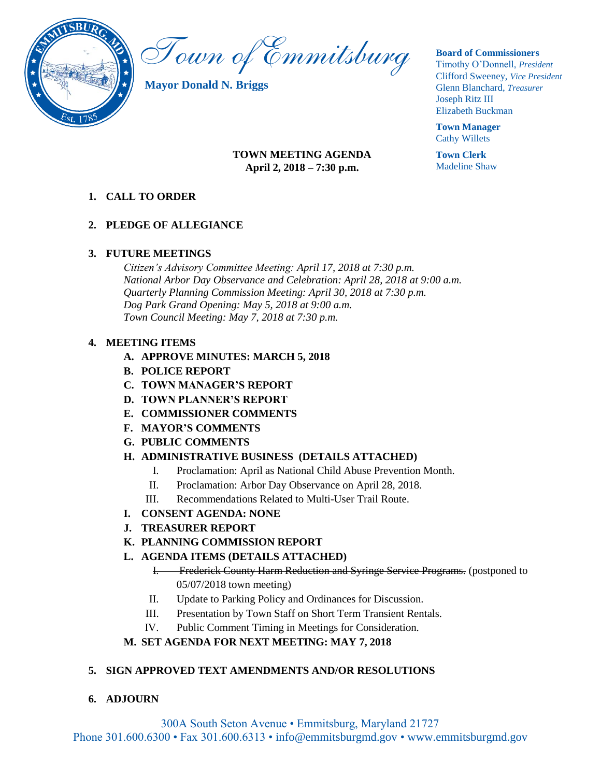

Town of Emmitsburg

**Mayor Donald N. Briggs**

#### **Board of Commissioners**

Timothy O'Donnell, *President*  Clifford Sweeney, *Vice President*  Glenn Blanchard, *Treasurer*  Joseph Ritz III Elizabeth Buckman

**Town Manager** Cathy Willets

**Town Clerk** Madeline Shaw

### **TOWN MEETING AGENDA April 2, 2018 – 7:30 p.m.**

### **1. CALL TO ORDER**

### **2. PLEDGE OF ALLEGIANCE**

### **3. FUTURE MEETINGS**

*Citizen's Advisory Committee Meeting: April 17, 2018 at 7:30 p.m. National Arbor Day Observance and Celebration: April 28, 2018 at 9:00 a.m. Quarterly Planning Commission Meeting: April 30, 2018 at 7:30 p.m. Dog Park Grand Opening: May 5, 2018 at 9:00 a.m. Town Council Meeting: May 7, 2018 at 7:30 p.m.*

### **4. MEETING ITEMS**

- **A. APPROVE MINUTES: MARCH 5, 2018**
- **B. POLICE REPORT**
- **C. TOWN MANAGER'S REPORT**
- **D. TOWN PLANNER'S REPORT**
- **E. COMMISSIONER COMMENTS**
- **F. MAYOR'S COMMENTS**
- **G. PUBLIC COMMENTS**

### **H. ADMINISTRATIVE BUSINESS (DETAILS ATTACHED)**

- I. Proclamation: April as National Child Abuse Prevention Month.
- II. Proclamation: Arbor Day Observance on April 28, 2018.
- III. Recommendations Related to Multi-User Trail Route.
- **I. CONSENT AGENDA: NONE**
- **J. TREASURER REPORT**
- **K. PLANNING COMMISSION REPORT**
- **L. AGENDA ITEMS (DETAILS ATTACHED)**
	- I. Frederick County Harm Reduction and Syringe Service Programs. (postponed to 05/07/2018 town meeting)
	- II. Update to Parking Policy and Ordinances for Discussion.
	- III. Presentation by Town Staff on Short Term Transient Rentals.
	- IV. Public Comment Timing in Meetings for Consideration.

### **M. SET AGENDA FOR NEXT MEETING: MAY 7, 2018**

### **5. SIGN APPROVED TEXT AMENDMENTS AND/OR RESOLUTIONS**

**6. ADJOURN**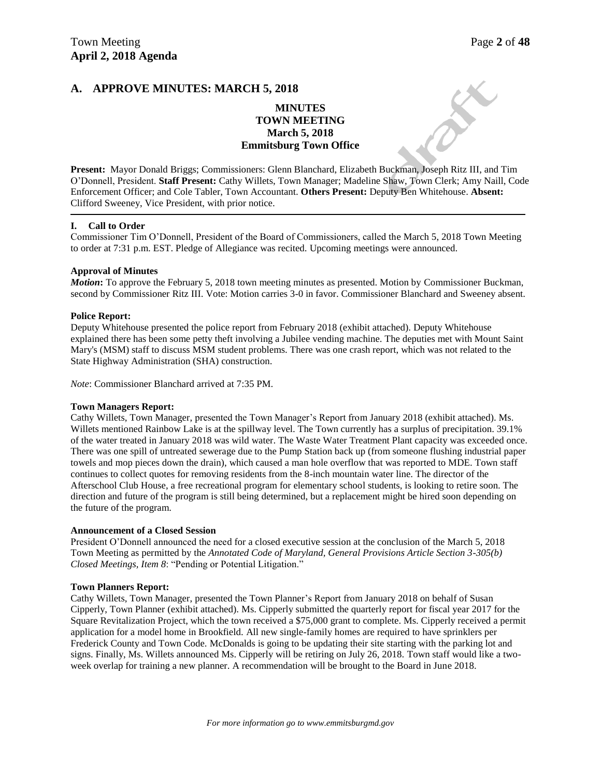### **A. APPROVE MINUTES: MARCH 5, 2018**

### **MINUTES TOWN MEETING March 5, 2018 Emmitsburg Town Office**

**Present:** Mayor Donald Briggs; Commissioners: Glenn Blanchard, Elizabeth Buckman, Joseph Ritz III, and Tim O'Donnell, President. **Staff Present:** Cathy Willets, Town Manager; Madeline Shaw, Town Clerk; Amy Naill, Code Enforcement Officer; and Cole Tabler, Town Accountant. **Others Present:** Deputy Ben Whitehouse. **Absent:**  Clifford Sweeney, Vice President, with prior notice.

#### **I. Call to Order**

Commissioner Tim O'Donnell, President of the Board of Commissioners, called the March 5, 2018 Town Meeting to order at 7:31 p.m. EST. Pledge of Allegiance was recited. Upcoming meetings were announced.

#### **Approval of Minutes**

*Motion***:** To approve the February 5, 2018 town meeting minutes as presented. Motion by Commissioner Buckman, second by Commissioner Ritz III. Vote: Motion carries 3-0 in favor. Commissioner Blanchard and Sweeney absent.

#### **Police Report:**

Deputy Whitehouse presented the police report from February 2018 (exhibit attached). Deputy Whitehouse explained there has been some petty theft involving a Jubilee vending machine. The deputies met with Mount Saint Mary's (MSM) staff to discuss MSM student problems. There was one crash report, which was not related to the State Highway Administration (SHA) construction.

*Note*: Commissioner Blanchard arrived at 7:35 PM.

#### **Town Managers Report:**

Cathy Willets, Town Manager, presented the Town Manager's Report from January 2018 (exhibit attached). Ms. Willets mentioned Rainbow Lake is at the spillway level. The Town currently has a surplus of precipitation. 39.1% of the water treated in January 2018 was wild water. The Waste Water Treatment Plant capacity was exceeded once. There was one spill of untreated sewerage due to the Pump Station back up (from someone flushing industrial paper towels and mop pieces down the drain), which caused a man hole overflow that was reported to MDE. Town staff continues to collect quotes for removing residents from the 8-inch mountain water line. The director of the Afterschool Club House, a free recreational program for elementary school students, is looking to retire soon. The direction and future of the program is still being determined, but a replacement might be hired soon depending on the future of the program.

#### **Announcement of a Closed Session**

President O'Donnell announced the need for a closed executive session at the conclusion of the March 5, 2018 Town Meeting as permitted by the *Annotated Code of Maryland, General Provisions Article Section 3-305(b) Closed Meetings, Item 8*: "Pending or Potential Litigation."

#### **Town Planners Report:**

Cathy Willets, Town Manager, presented the Town Planner's Report from January 2018 on behalf of Susan Cipperly, Town Planner (exhibit attached). Ms. Cipperly submitted the quarterly report for fiscal year 2017 for the Square Revitalization Project, which the town received a \$75,000 grant to complete. Ms. Cipperly received a permit application for a model home in Brookfield. All new single-family homes are required to have sprinklers per Frederick County and Town Code. McDonalds is going to be updating their site starting with the parking lot and signs. Finally, Ms. Willets announced Ms. Cipperly will be retiring on July 26, 2018. Town staff would like a twoweek overlap for training a new planner. A recommendation will be brought to the Board in June 2018.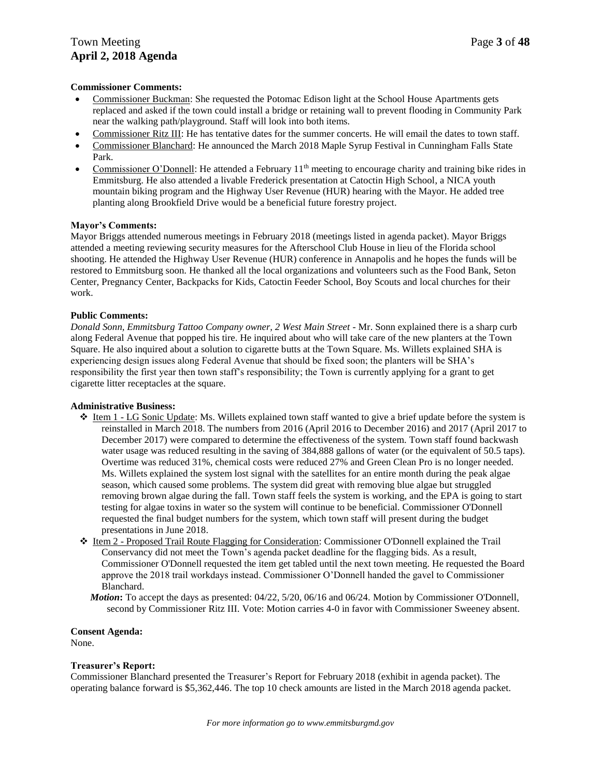### Town Meeting **Page 3** of 48 **April 2, 2018 Agenda**

#### **Commissioner Comments:**

- Commissioner Buckman: She requested the Potomac Edison light at the School House Apartments gets replaced and asked if the town could install a bridge or retaining wall to prevent flooding in Community Park near the walking path/playground. Staff will look into both items.
- Commissioner Ritz III: He has tentative dates for the summer concerts. He will email the dates to town staff.
- Commissioner Blanchard: He announced the March 2018 Maple Syrup Festival in Cunningham Falls State Park.
- Commissioner O'Donnell: He attended a February  $11<sup>th</sup>$  meeting to encourage charity and training bike rides in Emmitsburg. He also attended a livable Frederick presentation at Catoctin High School, a NICA youth mountain biking program and the Highway User Revenue (HUR) hearing with the Mayor. He added tree planting along Brookfield Drive would be a beneficial future forestry project.

#### **Mayor's Comments:**

Mayor Briggs attended numerous meetings in February 2018 (meetings listed in agenda packet). Mayor Briggs attended a meeting reviewing security measures for the Afterschool Club House in lieu of the Florida school shooting. He attended the Highway User Revenue (HUR) conference in Annapolis and he hopes the funds will be restored to Emmitsburg soon. He thanked all the local organizations and volunteers such as the Food Bank, Seton Center, Pregnancy Center, Backpacks for Kids, Catoctin Feeder School, Boy Scouts and local churches for their work.

#### **Public Comments:**

*Donald Sonn, Emmitsburg Tattoo Company owner, 2 West Main Street -* Mr. Sonn explained there is a sharp curb along Federal Avenue that popped his tire. He inquired about who will take care of the new planters at the Town Square. He also inquired about a solution to cigarette butts at the Town Square. Ms. Willets explained SHA is experiencing design issues along Federal Avenue that should be fixed soon; the planters will be SHA's responsibility the first year then town staff's responsibility; the Town is currently applying for a grant to get cigarette litter receptacles at the square.

#### **Administrative Business:**

- $\div$  Item 1 LG Sonic Update: Ms. Willets explained town staff wanted to give a brief update before the system is reinstalled in March 2018. The numbers from 2016 (April 2016 to December 2016) and 2017 (April 2017 to December 2017) were compared to determine the effectiveness of the system. Town staff found backwash water usage was reduced resulting in the saving of 384,888 gallons of water (or the equivalent of 50.5 taps). Overtime was reduced 31%, chemical costs were reduced 27% and Green Clean Pro is no longer needed. Ms. Willets explained the system lost signal with the satellites for an entire month during the peak algae season, which caused some problems. The system did great with removing blue algae but struggled removing brown algae during the fall. Town staff feels the system is working, and the EPA is going to start testing for algae toxins in water so the system will continue to be beneficial. Commissioner O'Donnell requested the final budget numbers for the system, which town staff will present during the budget presentations in June 2018.
- Item 2 Proposed Trail Route Flagging for Consideration: Commissioner O'Donnell explained the Trail Conservancy did not meet the Town's agenda packet deadline for the flagging bids. As a result, Commissioner O'Donnell requested the item get tabled until the next town meeting. He requested the Board approve the 2018 trail workdays instead. Commissioner O'Donnell handed the gavel to Commissioner Blanchard.
	- *Motion***:** To accept the days as presented: 04/22, 5/20, 06/16 and 06/24. Motion by Commissioner O'Donnell, second by Commissioner Ritz III. Vote: Motion carries 4-0 in favor with Commissioner Sweeney absent.

**Consent Agenda:** None.

#### **Treasurer's Report:**

Commissioner Blanchard presented the Treasurer's Report for February 2018 (exhibit in agenda packet). The operating balance forward is \$5,362,446. The top 10 check amounts are listed in the March 2018 agenda packet.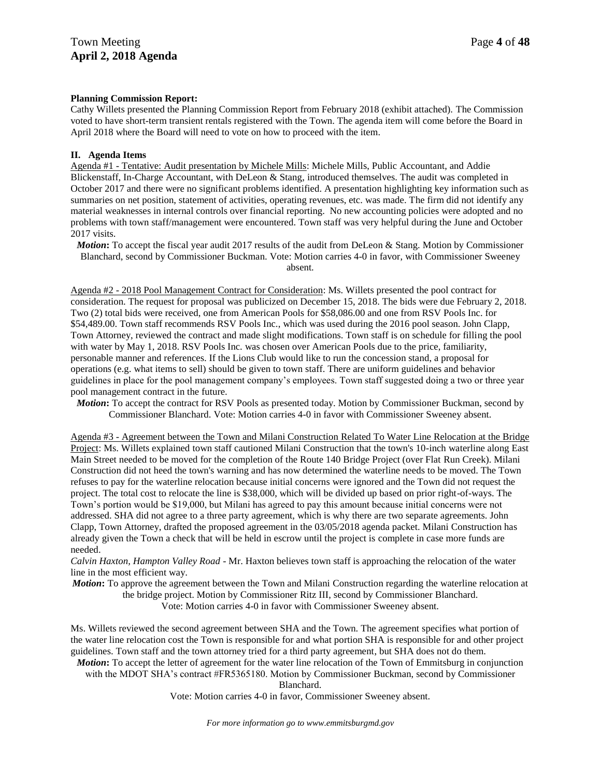#### **Planning Commission Report:**

Cathy Willets presented the Planning Commission Report from February 2018 (exhibit attached). The Commission voted to have short-term transient rentals registered with the Town. The agenda item will come before the Board in April 2018 where the Board will need to vote on how to proceed with the item.

#### **II. Agenda Items**

Agenda #1 - Tentative: Audit presentation by Michele Mills: Michele Mills, Public Accountant, and Addie Blickenstaff, In-Charge Accountant, with DeLeon & Stang, introduced themselves. The audit was completed in October 2017 and there were no significant problems identified. A presentation highlighting key information such as summaries on net position, statement of activities, operating revenues, etc. was made. The firm did not identify any material weaknesses in internal controls over financial reporting. No new accounting policies were adopted and no problems with town staff/management were encountered. Town staff was very helpful during the June and October 2017 visits.

*Motion*: To accept the fiscal year audit 2017 results of the audit from DeLeon & Stang. Motion by Commissioner Blanchard, second by Commissioner Buckman. Vote: Motion carries 4-0 in favor, with Commissioner Sweeney absent.

Agenda #2 - 2018 Pool Management Contract for Consideration: Ms. Willets presented the pool contract for consideration. The request for proposal was publicized on December 15, 2018. The bids were due February 2, 2018. Two (2) total bids were received, one from American Pools for \$58,086.00 and one from RSV Pools Inc. for \$54,489.00. Town staff recommends RSV Pools Inc., which was used during the 2016 pool season. John Clapp, Town Attorney, reviewed the contract and made slight modifications. Town staff is on schedule for filling the pool with water by May 1, 2018. RSV Pools Inc. was chosen over American Pools due to the price, familiarity, personable manner and references. If the Lions Club would like to run the concession stand, a proposal for operations (e.g. what items to sell) should be given to town staff. There are uniform guidelines and behavior guidelines in place for the pool management company's employees. Town staff suggested doing a two or three year pool management contract in the future.

*Motion***:** To accept the contract for RSV Pools as presented today. Motion by Commissioner Buckman, second by Commissioner Blanchard. Vote: Motion carries 4-0 in favor with Commissioner Sweeney absent.

Agenda #3 - Agreement between the Town and Milani Construction Related To Water Line Relocation at the Bridge Project: Ms. Willets explained town staff cautioned Milani Construction that the town's 10-inch waterline along East Main Street needed to be moved for the completion of the Route 140 Bridge Project (over Flat Run Creek). Milani Construction did not heed the town's warning and has now determined the waterline needs to be moved. The Town refuses to pay for the waterline relocation because initial concerns were ignored and the Town did not request the project. The total cost to relocate the line is \$38,000, which will be divided up based on prior right-of-ways. The Town's portion would be \$19,000, but Milani has agreed to pay this amount because initial concerns were not addressed. SHA did not agree to a three party agreement, which is why there are two separate agreements. John Clapp, Town Attorney, drafted the proposed agreement in the 03/05/2018 agenda packet. Milani Construction has already given the Town a check that will be held in escrow until the project is complete in case more funds are needed.

*Calvin Haxton, Hampton Valley Road* - Mr. Haxton believes town staff is approaching the relocation of the water line in the most efficient way.

*Motion***:** To approve the agreement between the Town and Milani Construction regarding the waterline relocation at the bridge project. Motion by Commissioner Ritz III, second by Commissioner Blanchard. Vote: Motion carries 4-0 in favor with Commissioner Sweeney absent.

Ms. Willets reviewed the second agreement between SHA and the Town. The agreement specifies what portion of the water line relocation cost the Town is responsible for and what portion SHA is responsible for and other project guidelines. Town staff and the town attorney tried for a third party agreement, but SHA does not do them.

*Motion***:** To accept the letter of agreement for the water line relocation of the Town of Emmitsburg in conjunction with the MDOT SHA's contract #FR5365180. Motion by Commissioner Buckman, second by Commissioner Blanchard.

Vote: Motion carries 4-0 in favor, Commissioner Sweeney absent.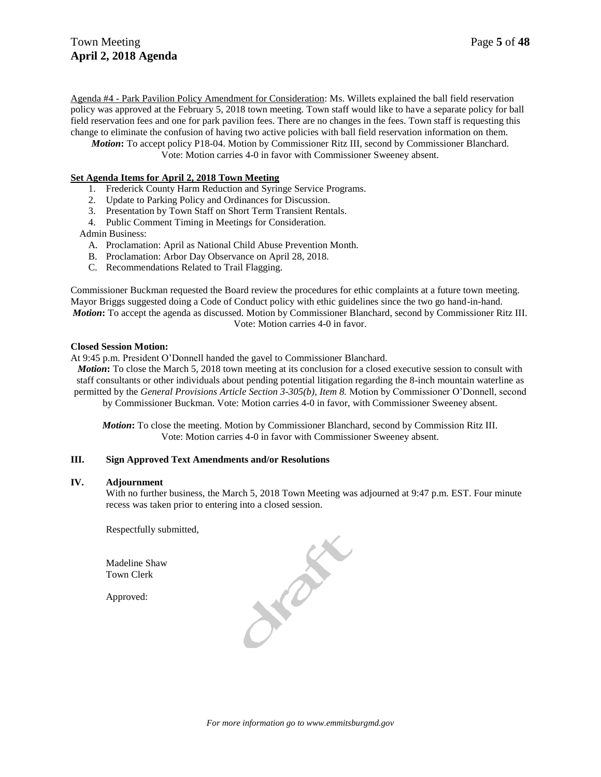Agenda #4 - Park Pavilion Policy Amendment for Consideration: Ms. Willets explained the ball field reservation policy was approved at the February 5, 2018 town meeting. Town staff would like to have a separate policy for ball field reservation fees and one for park pavilion fees. There are no changes in the fees. Town staff is requesting this change to eliminate the confusion of having two active policies with ball field reservation information on them.

*Motion***:** To accept policy P18-04. Motion by Commissioner Ritz III, second by Commissioner Blanchard. Vote: Motion carries 4-0 in favor with Commissioner Sweeney absent.

#### **Set Agenda Items for April 2, 2018 Town Meeting**

- 1. Frederick County Harm Reduction and Syringe Service Programs.
- 2. Update to Parking Policy and Ordinances for Discussion.
- 3. Presentation by Town Staff on Short Term Transient Rentals.
- 4. Public Comment Timing in Meetings for Consideration.

#### Admin Business:

- A. Proclamation: April as National Child Abuse Prevention Month.
- B. Proclamation: Arbor Day Observance on April 28, 2018.
- C. Recommendations Related to Trail Flagging.

Commissioner Buckman requested the Board review the procedures for ethic complaints at a future town meeting. Mayor Briggs suggested doing a Code of Conduct policy with ethic guidelines since the two go hand-in-hand. *Motion***:** To accept the agenda as discussed. Motion by Commissioner Blanchard, second by Commissioner Ritz III. Vote: Motion carries 4-0 in favor.

#### **Closed Session Motion:**

At 9:45 p.m. President O'Donnell handed the gavel to Commissioner Blanchard.

*Motion*: To close the March 5, 2018 town meeting at its conclusion for a closed executive session to consult with staff consultants or other individuals about pending potential litigation regarding the 8-inch mountain waterline as permitted by the *General Provisions Article Section 3-305(b), Item 8.* Motion by Commissioner O'Donnell, second by Commissioner Buckman. Vote: Motion carries 4-0 in favor, with Commissioner Sweeney absent.

*Motion***:** To close the meeting. Motion by Commissioner Blanchard, second by Commission Ritz III. Vote: Motion carries 4-0 in favor with Commissioner Sweeney absent.

#### **III. Sign Approved Text Amendments and/or Resolutions**

#### **IV. Adjournment**

With no further business, the March 5, 2018 Town Meeting was adjourned at 9:47 p.m. EST. Four minute recess was taken prior to entering into a closed session.

Respectfully submitted,

Madeline Shaw Town Clerk

Approved:

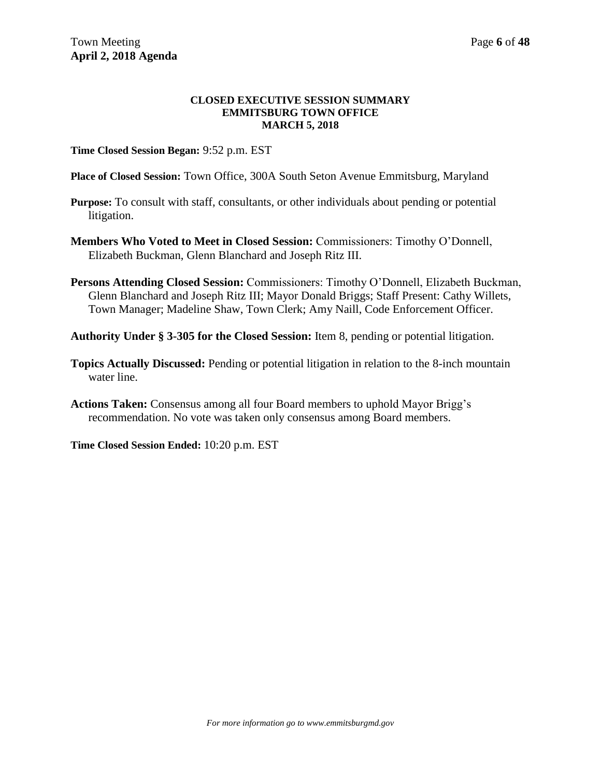### **CLOSED EXECUTIVE SESSION SUMMARY EMMITSBURG TOWN OFFICE MARCH 5, 2018**

**Time Closed Session Began:** 9:52 p.m. EST

**Place of Closed Session:** Town Office, 300A South Seton Avenue Emmitsburg, Maryland

- **Purpose:** To consult with staff, consultants, or other individuals about pending or potential litigation.
- **Members Who Voted to Meet in Closed Session:** Commissioners: Timothy O'Donnell, Elizabeth Buckman, Glenn Blanchard and Joseph Ritz III.
- **Persons Attending Closed Session:** Commissioners: Timothy O'Donnell, Elizabeth Buckman, Glenn Blanchard and Joseph Ritz III; Mayor Donald Briggs; Staff Present: Cathy Willets, Town Manager; Madeline Shaw, Town Clerk; Amy Naill, Code Enforcement Officer.

**Authority Under § 3-305 for the Closed Session:** Item 8, pending or potential litigation.

- **Topics Actually Discussed:** Pending or potential litigation in relation to the 8-inch mountain water line.
- **Actions Taken:** Consensus among all four Board members to uphold Mayor Brigg's recommendation. No vote was taken only consensus among Board members.

**Time Closed Session Ended:** 10:20 p.m. EST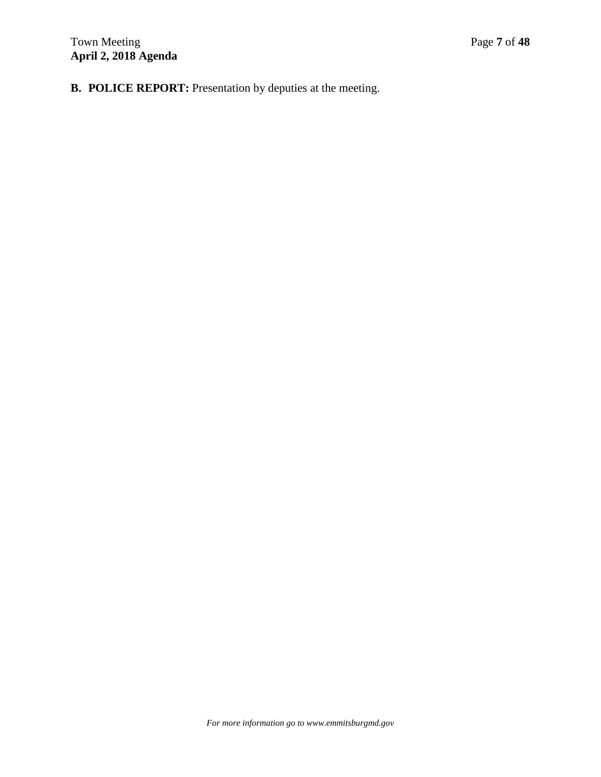**B. POLICE REPORT:** Presentation by deputies at the meeting.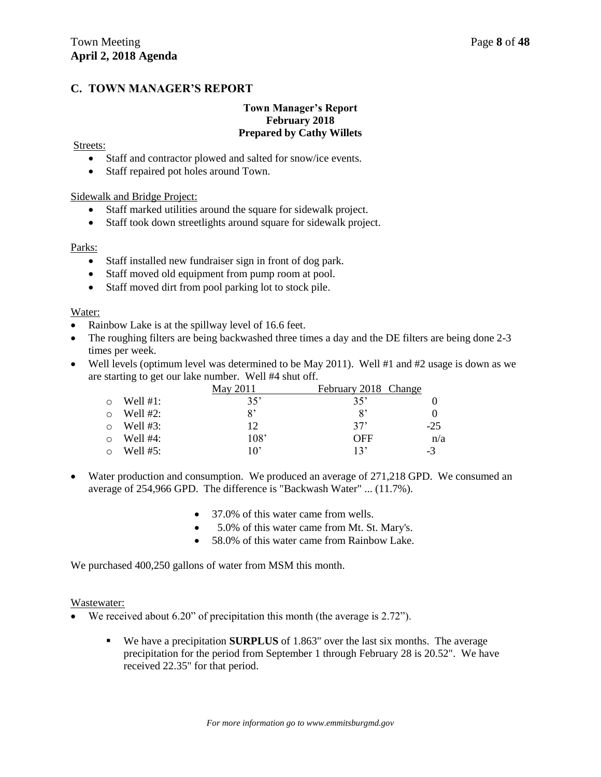### **C. TOWN MANAGER'S REPORT**

### **Town Manager's Report February 2018 Prepared by Cathy Willets**

### Streets:

- Staff and contractor plowed and salted for snow/ice events.
- Staff repaired pot holes around Town.

### Sidewalk and Bridge Project:

- Staff marked utilities around the square for sidewalk project.
- Staff took down streetlights around square for sidewalk project.

### Parks:

- Staff installed new fundraiser sign in front of dog park.
- Staff moved old equipment from pump room at pool.
- Staff moved dirt from pool parking lot to stock pile.

### Water:

- Rainbow Lake is at the spillway level of 16.6 feet.
- The roughing filters are being backwashed three times a day and the DE filters are being done 2-3 times per week.
- Well levels (optimum level was determined to be May 2011). Well  $#1$  and  $#2$  usage is down as we are starting to get our lake number. Well #4 shut off.

|             | May 2011              | February 2018 Change   |       |
|-------------|-----------------------|------------------------|-------|
| Well $#1$ : | $35^{\circ}$          | 35'                    |       |
| Well $#2$ : | $\mathsf{R}^{\prime}$ | $\mathcal{R}^{\prime}$ |       |
| Well $#3:$  | 12                    | 37'                    | $-25$ |
| Well $#4$ : | 108'                  | <b>OFF</b>             | n/a   |
| Well #5:    | 10'                   | 13'                    | $-3$  |

- Water production and consumption. We produced an average of 271,218 GPD. We consumed an average of 254,966 GPD. The difference is "Backwash Water" ... (11.7%).
	- 37.0% of this water came from wells.
	- 5.0% of this water came from Mt. St. Mary's.
	- 58.0% of this water came from Rainbow Lake.

We purchased 400,250 gallons of water from MSM this month.

#### Wastewater:

- We received about 6.20" of precipitation this month (the average is 2.72").
	- We have a precipitation **SURPLUS** of 1.863" over the last six months. The average precipitation for the period from September 1 through February 28 is 20.52". We have received 22.35" for that period.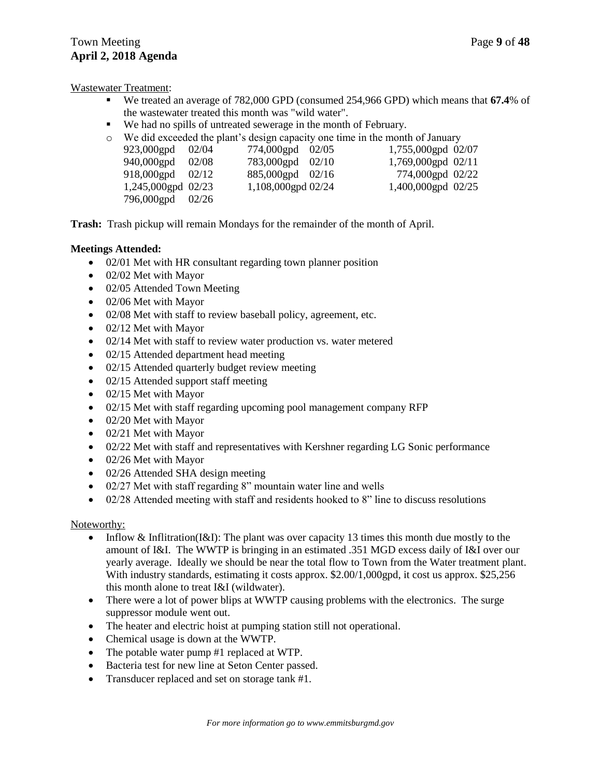Wastewater Treatment:

- We treated an average of 782,000 GPD (consumed 254,966 GPD) which means that **67.4**% of the wastewater treated this month was "wild water".
- We had no spills of untreated sewerage in the month of February.
- $\circ$  We did exceeded the plant's design capacity one time in the month of January

| 1,755,000gpd 02/07<br>923,000gpd 02/04<br>774,000gpd 02/05<br>1,769,000gpd 02/11<br>940,000gpd 02/08<br>783,000gpd 02/10<br>918,000gpd $02/12$<br>885,000gpd 02/16 | $\ldots$ and one of the product $\sigma$ assign explority one third in the intention of $\sigma$ and $\sigma$ |
|--------------------------------------------------------------------------------------------------------------------------------------------------------------------|---------------------------------------------------------------------------------------------------------------|
|                                                                                                                                                                    |                                                                                                               |
|                                                                                                                                                                    |                                                                                                               |
|                                                                                                                                                                    | 774,000gpd 02/22                                                                                              |
| 1,245,000gpd 02/23<br>1,108,000gpd 02/24<br>1,400,000gpd 02/25                                                                                                     |                                                                                                               |
| 796,000gpd 02/26                                                                                                                                                   |                                                                                                               |

**Trash:** Trash pickup will remain Mondays for the remainder of the month of April.

### **Meetings Attended:**

- 02/01 Met with HR consultant regarding town planner position
- 02/02 Met with Mayor
- 02/05 Attended Town Meeting
- 02/06 Met with Mayor
- 02/08 Met with staff to review baseball policy, agreement, etc.
- 02/12 Met with Mayor
- 02/14 Met with staff to review water production vs. water metered
- 02/15 Attended department head meeting
- 02/15 Attended quarterly budget review meeting
- 02/15 Attended support staff meeting
- 02/15 Met with Mayor
- 02/15 Met with staff regarding upcoming pool management company RFP
- 02/20 Met with Mayor
- 02/21 Met with Mayor
- 02/22 Met with staff and representatives with Kershner regarding LG Sonic performance
- 02/26 Met with Mayor
- 02/26 Attended SHA design meeting
- 02/27 Met with staff regarding 8" mountain water line and wells
- 02/28 Attended meeting with staff and residents hooked to 8" line to discuss resolutions

### Noteworthy:

- Inflow & Inflitration(I&I): The plant was over capacity 13 times this month due mostly to the amount of I&I. The WWTP is bringing in an estimated .351 MGD excess daily of I&I over our yearly average. Ideally we should be near the total flow to Town from the Water treatment plant. With industry standards, estimating it costs approx. \$2.00/1,000gpd, it cost us approx. \$25,256 this month alone to treat I&I (wildwater).
- There were a lot of power blips at WWTP causing problems with the electronics. The surge suppressor module went out.
- The heater and electric hoist at pumping station still not operational.
- Chemical usage is down at the WWTP.
- The potable water pump #1 replaced at WTP.
- Bacteria test for new line at Seton Center passed.
- Transducer replaced and set on storage tank #1.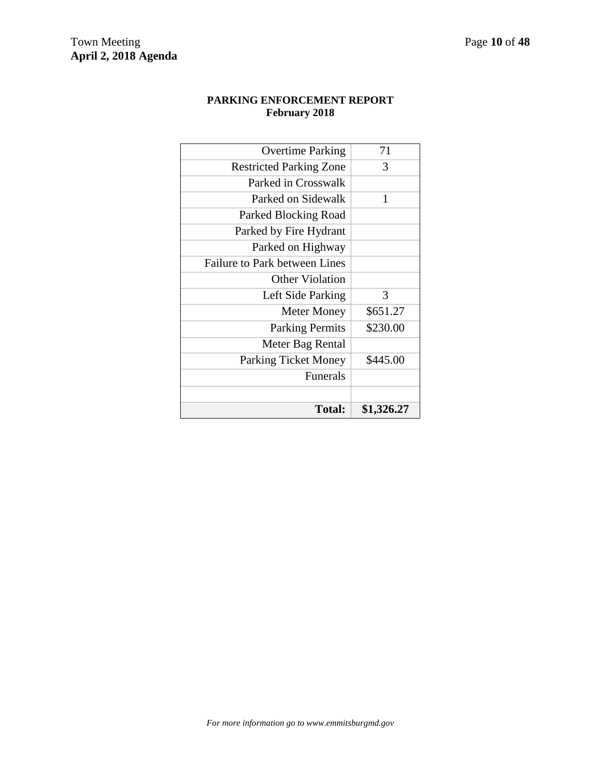### **PARKING ENFORCEMENT REPORT February 2018**

| <b>Total:</b>                        | \$1,326.27 |
|--------------------------------------|------------|
|                                      |            |
| <b>Funerals</b>                      |            |
| <b>Parking Ticket Money</b>          | \$445.00   |
| Meter Bag Rental                     |            |
| <b>Parking Permits</b>               | \$230.00   |
| <b>Meter Money</b>                   | \$651.27   |
| Left Side Parking                    | 3          |
| <b>Other Violation</b>               |            |
| <b>Failure to Park between Lines</b> |            |
| Parked on Highway                    |            |
| Parked by Fire Hydrant               |            |
| Parked Blocking Road                 |            |
| Parked on Sidewalk                   | 1          |
| Parked in Crosswalk                  |            |
| <b>Restricted Parking Zone</b>       | 3          |
| <b>Overtime Parking</b>              | 71         |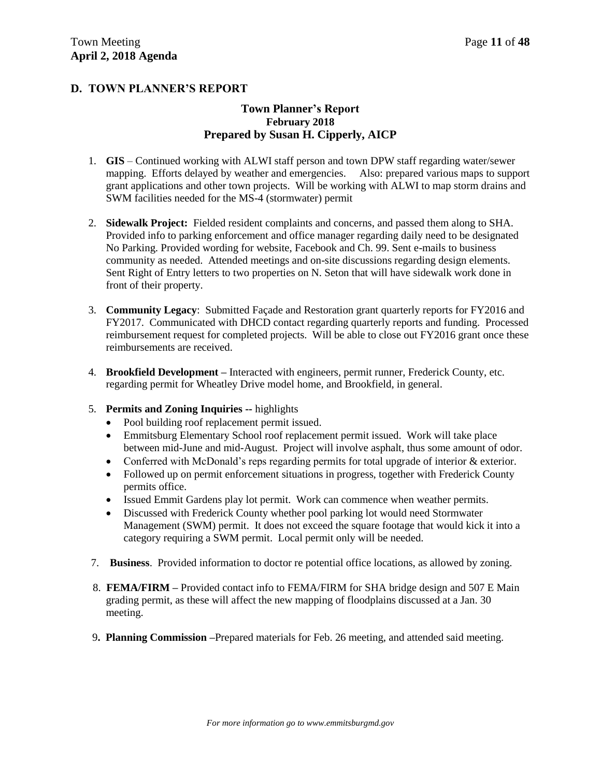### **D. TOWN PLANNER'S REPORT**

### **Town Planner's Report February 2018 Prepared by Susan H. Cipperly, AICP**

- 1. **GIS** Continued working with ALWI staff person and town DPW staff regarding water/sewer mapping. Efforts delayed by weather and emergencies. Also: prepared various maps to support grant applications and other town projects. Will be working with ALWI to map storm drains and SWM facilities needed for the MS-4 (stormwater) permit
- 2. **Sidewalk Project:** Fielded resident complaints and concerns, and passed them along to SHA. Provided info to parking enforcement and office manager regarding daily need to be designated No Parking. Provided wording for website, Facebook and Ch. 99. Sent e-mails to business community as needed. Attended meetings and on-site discussions regarding design elements. Sent Right of Entry letters to two properties on N. Seton that will have sidewalk work done in front of their property.
- 3. **Community Legacy**: Submitted Façade and Restoration grant quarterly reports for FY2016 and FY2017. Communicated with DHCD contact regarding quarterly reports and funding. Processed reimbursement request for completed projects. Will be able to close out FY2016 grant once these reimbursements are received.
- 4. **Brookfield Development –** Interacted with engineers, permit runner, Frederick County, etc. regarding permit for Wheatley Drive model home, and Brookfield, in general.
- 5. **Permits and Zoning Inquiries --** highlights
	- Pool building roof replacement permit issued.
	- Emmitsburg Elementary School roof replacement permit issued. Work will take place between mid-June and mid-August. Project will involve asphalt, thus some amount of odor.
	- Conferred with McDonald's reps regarding permits for total upgrade of interior & exterior.
	- Followed up on permit enforcement situations in progress, together with Frederick County permits office.
	- Issued Emmit Gardens play lot permit. Work can commence when weather permits.
	- Discussed with Frederick County whether pool parking lot would need Stormwater Management (SWM) permit. It does not exceed the square footage that would kick it into a category requiring a SWM permit. Local permit only will be needed.
- 7. **Business**. Provided information to doctor re potential office locations, as allowed by zoning.
- 8. **FEMA/FIRM –** Provided contact info to FEMA/FIRM for SHA bridge design and 507 E Main grading permit, as these will affect the new mapping of floodplains discussed at a Jan. 30 meeting.
- 9**. Planning Commission –**Prepared materials for Feb. 26 meeting, and attended said meeting.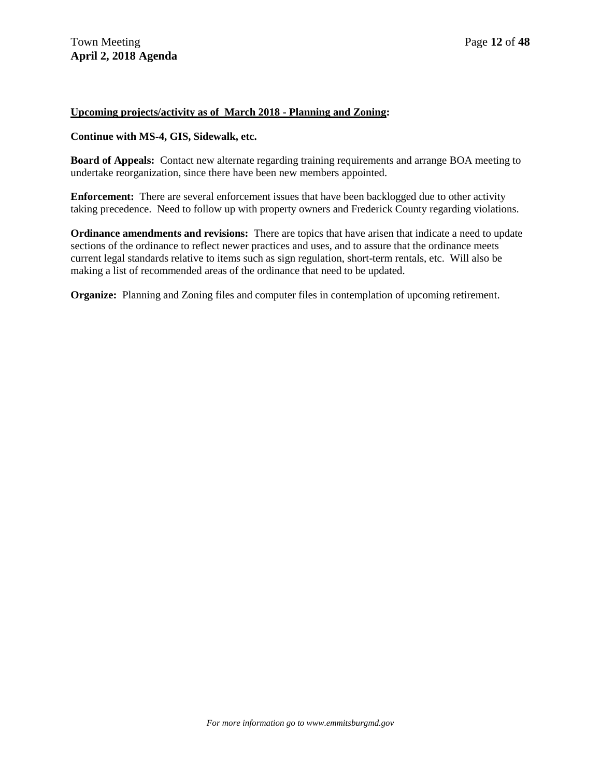### **Upcoming projects/activity as of March 2018 - Planning and Zoning:**

#### **Continue with MS-4, GIS, Sidewalk, etc.**

**Board of Appeals:** Contact new alternate regarding training requirements and arrange BOA meeting to undertake reorganization, since there have been new members appointed.

**Enforcement:** There are several enforcement issues that have been backlogged due to other activity taking precedence. Need to follow up with property owners and Frederick County regarding violations.

**Ordinance amendments and revisions:** There are topics that have arisen that indicate a need to update sections of the ordinance to reflect newer practices and uses, and to assure that the ordinance meets current legal standards relative to items such as sign regulation, short-term rentals, etc. Will also be making a list of recommended areas of the ordinance that need to be updated.

**Organize:** Planning and Zoning files and computer files in contemplation of upcoming retirement.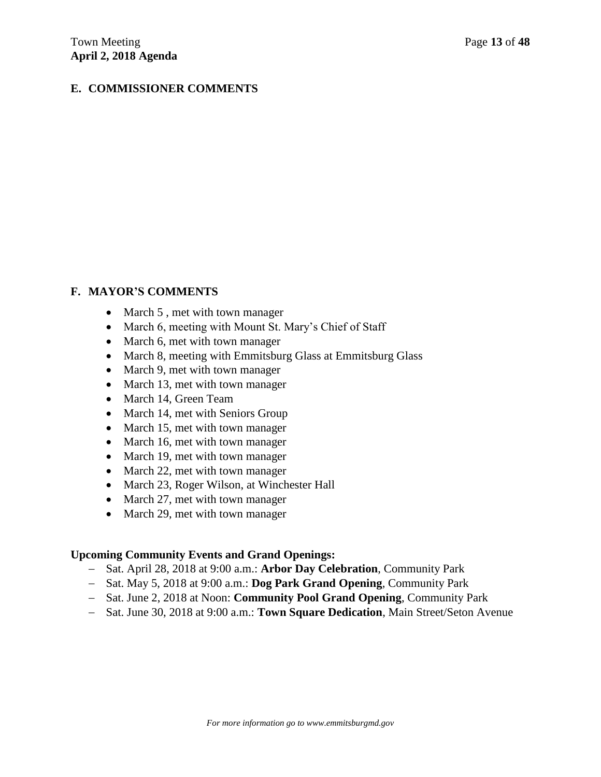### **E. COMMISSIONER COMMENTS**

### **F. MAYOR'S COMMENTS**

- March 5, met with town manager
- March 6, meeting with Mount St. Mary's Chief of Staff
- March 6, met with town manager
- March 8, meeting with Emmitsburg Glass at Emmitsburg Glass
- March 9, met with town manager
- March 13, met with town manager
- March 14, Green Team
- March 14, met with Seniors Group
- March 15, met with town manager
- March 16, met with town manager
- March 19, met with town manager
- March 22, met with town manager
- March 23, Roger Wilson, at Winchester Hall
- March 27, met with town manager
- March 29, met with town manager

### **Upcoming Community Events and Grand Openings:**

- Sat. April 28, 2018 at 9:00 a.m.: **Arbor Day Celebration**, Community Park
- Sat. May 5, 2018 at 9:00 a.m.: **Dog Park Grand Opening**, Community Park
- Sat. June 2, 2018 at Noon: **Community Pool Grand Opening**, Community Park
- Sat. June 30, 2018 at 9:00 a.m.: **Town Square Dedication**, Main Street/Seton Avenue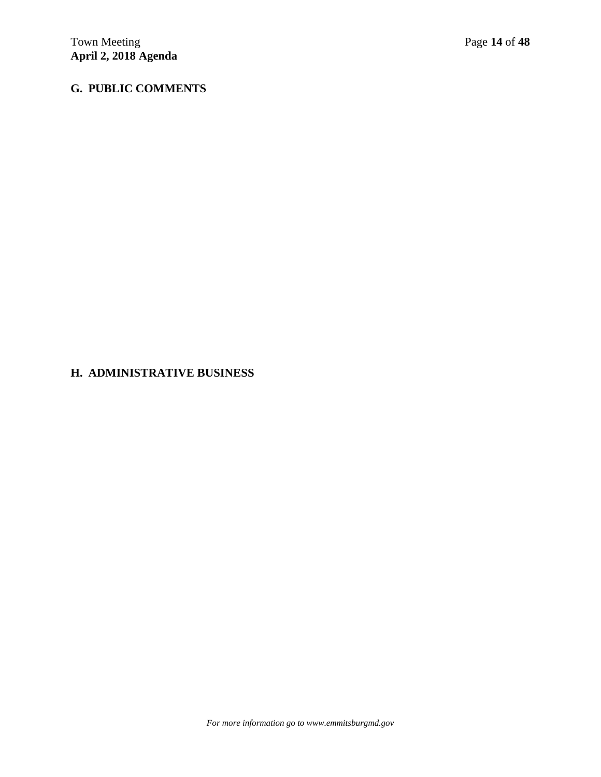# **G. PUBLIC COMMENTS**

### **H. ADMINISTRATIVE BUSINESS**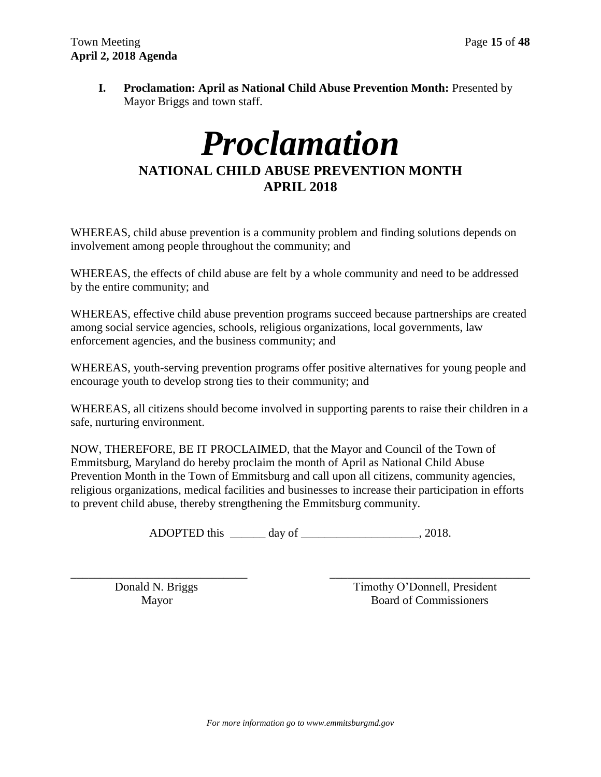**I. Proclamation: April as National Child Abuse Prevention Month:** Presented by Mayor Briggs and town staff.

# *Proclamation* **NATIONAL CHILD ABUSE PREVENTION MONTH APRIL 2018**

WHEREAS, child abuse prevention is a community problem and finding solutions depends on involvement among people throughout the community; and

WHEREAS, the effects of child abuse are felt by a whole community and need to be addressed by the entire community; and

WHEREAS, effective child abuse prevention programs succeed because partnerships are created among social service agencies, schools, religious organizations, local governments, law enforcement agencies, and the business community; and

WHEREAS, youth-serving prevention programs offer positive alternatives for young people and encourage youth to develop strong ties to their community; and

WHEREAS, all citizens should become involved in supporting parents to raise their children in a safe, nurturing environment.

NOW, THEREFORE, BE IT PROCLAIMED, that the Mayor and Council of the Town of Emmitsburg, Maryland do hereby proclaim the month of April as National Child Abuse Prevention Month in the Town of Emmitsburg and call upon all citizens, community agencies, religious organizations, medical facilities and businesses to increase their participation in efforts to prevent child abuse, thereby strengthening the Emmitsburg community.

ADOPTED this \_\_\_\_\_\_ day of \_\_\_\_\_\_\_\_\_\_\_\_\_\_\_\_\_\_\_\_, 2018.

\_\_\_\_\_\_\_\_\_\_\_\_\_\_\_\_\_\_\_\_\_\_\_\_\_\_\_\_\_\_ \_\_\_\_\_\_\_\_\_\_\_\_\_\_\_\_\_\_\_\_\_\_\_\_\_\_\_\_\_\_\_\_\_\_ Donald N. Briggs Timothy O'Donnell, President Mayor Board of Commissioners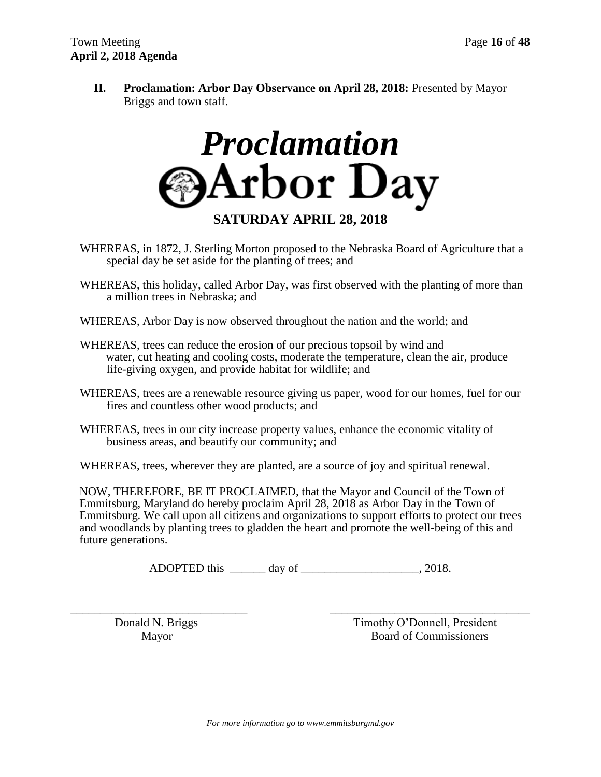**II. Proclamation: Arbor Day Observance on April 28, 2018:** Presented by Mayor Briggs and town staff.



**SATURDAY APRIL 28, 2018**

- WHEREAS, in 1872, J. Sterling Morton proposed to the Nebraska Board of Agriculture that a special day be set aside for the planting of trees; and
- WHEREAS, this holiday, called Arbor Day, was first observed with the planting of more than a million trees in Nebraska; and
- WHEREAS, Arbor Day is now observed throughout the nation and the world; and
- WHEREAS, trees can reduce the erosion of our precious topsoil by wind and water, cut heating and cooling costs, moderate the temperature, clean the air, produce life-giving oxygen, and provide habitat for wildlife; and
- WHEREAS, trees are a renewable resource giving us paper, wood for our homes, fuel for our fires and countless other wood products; and
- WHEREAS, trees in our city increase property values, enhance the economic vitality of business areas, and beautify our community; and
- WHEREAS, trees, wherever they are planted, are a source of joy and spiritual renewal.

NOW, THEREFORE, BE IT PROCLAIMED, that the Mayor and Council of the Town of Emmitsburg, Maryland do hereby proclaim April 28, 2018 as Arbor Day in the Town of Emmitsburg. We call upon all citizens and organizations to support efforts to protect our trees and woodlands by planting trees to gladden the heart and promote the well-being of this and future generations.

ADOPTED this day of 2018.

\_\_\_\_\_\_\_\_\_\_\_\_\_\_\_\_\_\_\_\_\_\_\_\_\_\_\_\_\_\_ \_\_\_\_\_\_\_\_\_\_\_\_\_\_\_\_\_\_\_\_\_\_\_\_\_\_\_\_\_\_\_\_\_\_ Donald N. Briggs Timothy O'Donnell, President Mayor Board of Commissioners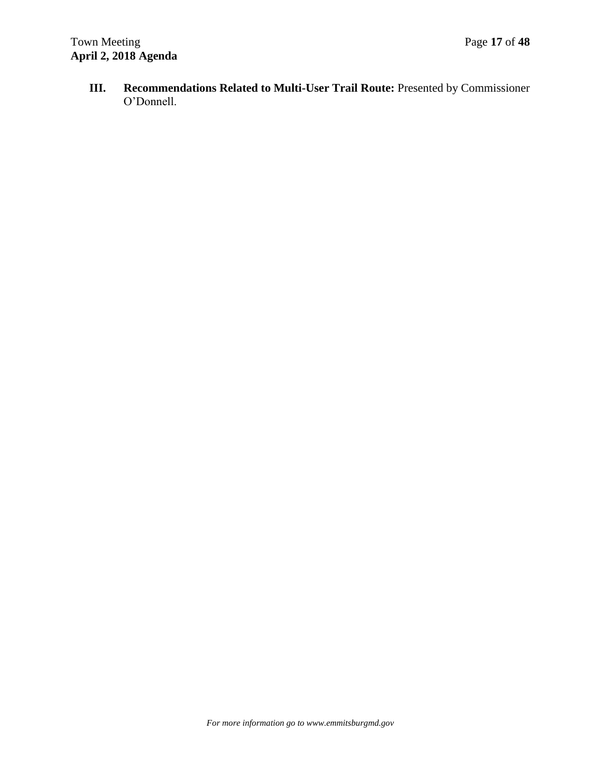**III. Recommendations Related to Multi-User Trail Route:** Presented by Commissioner O'Donnell.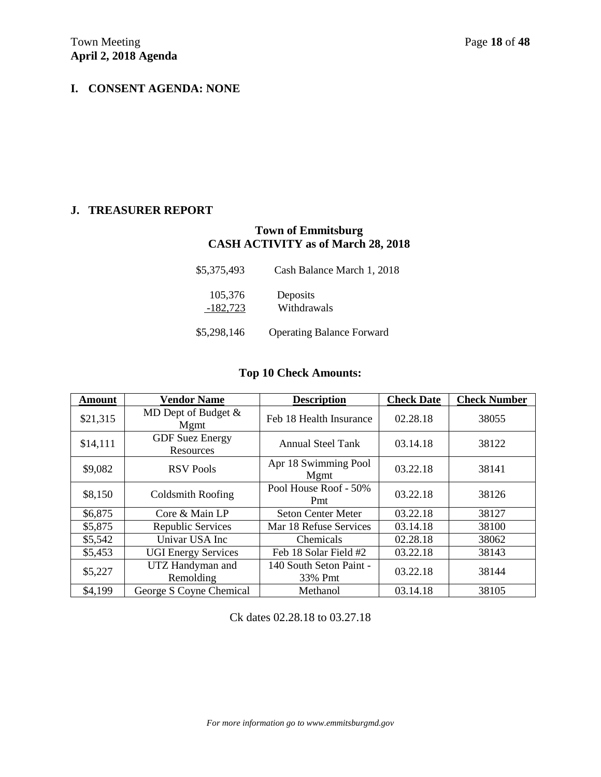## **I. CONSENT AGENDA: NONE**

### **J. TREASURER REPORT**

### **Town of Emmitsburg CASH ACTIVITY as of March 28, 2018**

| \$5,375,493           | Cash Balance March 1, 2018       |
|-----------------------|----------------------------------|
| 105,376<br>$-182,723$ | Deposits<br>Withdrawals          |
| \$5,298,146           | <b>Operating Balance Forward</b> |

## **Top 10 Check Amounts:**

| <b>Amount</b> | <b>Vendor Name</b>                  | <b>Description</b>                 | <b>Check Date</b> | <b>Check Number</b> |
|---------------|-------------------------------------|------------------------------------|-------------------|---------------------|
| \$21,315      | MD Dept of Budget $&$<br>Mgmt       | Feb 18 Health Insurance            | 02.28.18          | 38055               |
| \$14,111      | <b>GDF</b> Suez Energy<br>Resources | <b>Annual Steel Tank</b>           | 03.14.18          | 38122               |
| \$9,082       | <b>RSV Pools</b>                    | Apr 18 Swimming Pool<br>Mgmt       | 03.22.18          | 38141               |
| \$8,150       | Coldsmith Roofing                   | Pool House Roof - 50%<br>Pmt       | 03.22.18          | 38126               |
| \$6,875       | Core & Main LP                      | <b>Seton Center Meter</b>          | 03.22.18          | 38127               |
| \$5,875       | Republic Services                   | Mar 18 Refuse Services             | 03.14.18          | 38100               |
| \$5,542       | Univar USA Inc                      | Chemicals                          | 02.28.18          | 38062               |
| \$5,453       | <b>UGI Energy Services</b>          | Feb 18 Solar Field #2              | 03.22.18          | 38143               |
| \$5,227       | UTZ Handyman and<br>Remolding       | 140 South Seton Paint -<br>33% Pmt | 03.22.18          | 38144               |
| \$4,199       | George S Coyne Chemical             | Methanol                           | 03.14.18          | 38105               |

Ck dates 02.28.18 to 03.27.18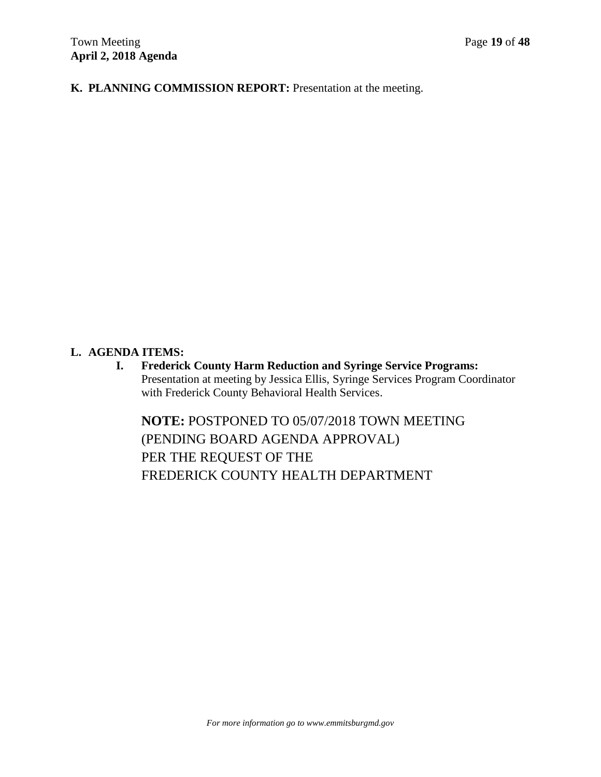**K. PLANNING COMMISSION REPORT:** Presentation at the meeting.

### **L. AGENDA ITEMS:**

**I. Frederick County Harm Reduction and Syringe Service Programs:**  Presentation at meeting by Jessica Ellis, Syringe Services Program Coordinator with Frederick County Behavioral Health Services.

**NOTE:** POSTPONED TO 05/07/2018 TOWN MEETING (PENDING BOARD AGENDA APPROVAL) PER THE REQUEST OF THE FREDERICK COUNTY HEALTH DEPARTMENT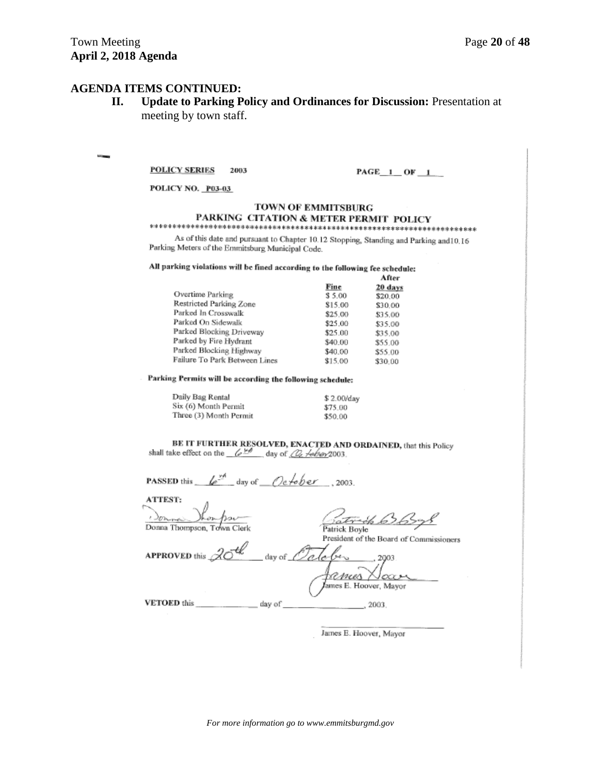### **AGENDA ITEMS CONTINUED:**

**II. Update to Parking Policy and Ordinances for Discussion:** Presentation at meeting by town staff.

#### **POLICY SERIES** 2003

 $PAGE_1$  OF  $1$ 

POLICY NO. P03-03

#### TOWN OF EMMITSBURG PARKING CITATION & METER PERMIT POLICY

As of this date and pursuant to Chapter 10.12 Stopping, Standing and Parking and 10.16 Parking Meters of the Emmitsburg Municipal Code.

All parking violations will be fined according to the following fee schedule:

|                               |         | After   |
|-------------------------------|---------|---------|
|                               | Fine    | 20 days |
| Overtime Parking              | \$5.00  | \$20.00 |
| Restricted Parking Zone       | \$15.00 | \$30.00 |
| Parked In Crosswalk           | \$25.00 | \$35.00 |
| Parked On Sidewalk            | \$25.00 | \$35.00 |
| Parked Blocking Driveway      | \$25.00 | \$35.00 |
| Parked by Fire Hydrant        | \$40.00 | \$55.00 |
| Parked Blocking Highway       | \$40.00 | \$55.00 |
| Failure To Park Between Lines | \$15.00 | \$30.00 |

Parking Permits will be according the following schedule:

| Daily Bag Rental       | \$2.00/day |
|------------------------|------------|
| Six (6) Month Permit   | \$75.00    |
| Three (3) Month Permit | \$50.00    |

BE IT FURTHER RESOLVED, ENACTED AND ORDAINED, that this Policy shall take effect on the  $\sqrt{\frac{\nu \phi}{2}}$  day of  $\sqrt{\frac{\rho}{\omega}}$  /eb/ey/2003.

| <b>PASSED</b> this $\frac{L^{ph}}{2}$ day of $\frac{Defober}{2003}$ ,     |                                         |
|---------------------------------------------------------------------------|-----------------------------------------|
| <b>ATTEST:</b><br>Donna Thompson, Town Clerk                              | Gatrick 636398                          |
| <b>APPROVED</b> this $\overline{20}$ <sup>th</sup> day of $\overline{20}$ | President of the Board of Commissioners |
|                                                                           | rames<br>James E. Hoover, Mayor         |
| <b>VETOED</b> this                                                        | day of<br>2003.                         |

James E. Hoover, Mayor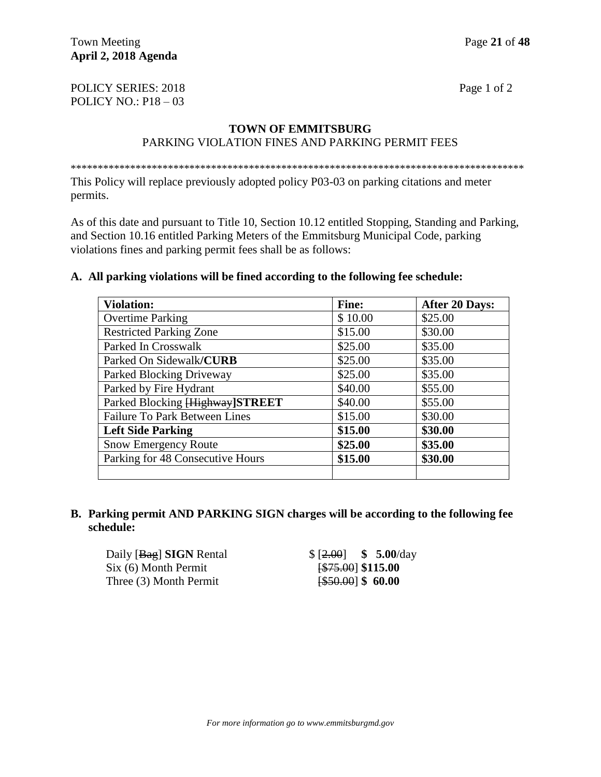POLICY SERIES: 2018 Page 1 of 2 POLICY NO.: P18 – 03

# **TOWN OF EMMITSBURG**

## PARKING VIOLATION FINES AND PARKING PERMIT FEES

\*\*\*\*\*\*\*\*\*\*\*\*\*\*\*\*\*\*\*\*\*\*\*\*\*\*\*\*\*\*\*\*\*\*\*\*\*\*\*\*\*\*\*\*\*\*\*\*\*\*\*\*\*\*\*\*\*\*\*\*\*\*\*\*\*\*\*\*\*\*\*\*\*\*\*\*\*\*\*\*\*\*\*\*

This Policy will replace previously adopted policy P03-03 on parking citations and meter permits.

As of this date and pursuant to Title 10, Section 10.12 entitled Stopping, Standing and Parking, and Section 10.16 entitled Parking Meters of the Emmitsburg Municipal Code, parking violations fines and parking permit fees shall be as follows:

### **A. All parking violations will be fined according to the following fee schedule:**

| <b>Violation:</b>                    | <b>Fine:</b> | <b>After 20 Days:</b> |
|--------------------------------------|--------------|-----------------------|
| <b>Overtime Parking</b>              | \$10.00      | \$25.00               |
| <b>Restricted Parking Zone</b>       | \$15.00      | \$30.00               |
| Parked In Crosswalk                  | \$25.00      | \$35.00               |
| Parked On Sidewalk/CURB              | \$25.00      | \$35.00               |
| Parked Blocking Driveway             | \$25.00      | \$35.00               |
| Parked by Fire Hydrant               | \$40.00      | \$55.00               |
| Parked Blocking [Highway] STREET     | \$40.00      | \$55.00               |
| <b>Failure To Park Between Lines</b> | \$15.00      | \$30.00               |
| <b>Left Side Parking</b>             | \$15.00      | \$30.00               |
| <b>Snow Emergency Route</b>          | \$25.00      | \$35.00               |
| Parking for 48 Consecutive Hours     | \$15.00      | \$30.00               |
|                                      |              |                       |

### **B. Parking permit AND PARKING SIGN charges will be according to the following fee schedule:**

Daily [Bag] **SIGN** Rental \$ [2.00] **\$ 5.00**/day Six (6) Month Permit **[\$75.00]** \$115.00 Three (3) Month Permit [\$50.00] \$ 60.00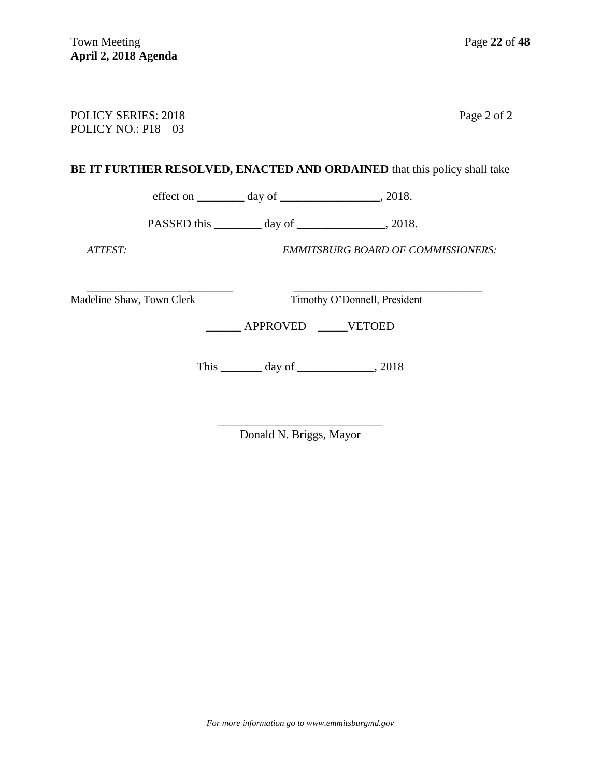| <b>POLICY SERIES: 2018</b><br>POLICY NO.: $P18-03$ |  |                                                                                 | Page 2 of 2 |
|----------------------------------------------------|--|---------------------------------------------------------------------------------|-------------|
|                                                    |  | <b>BE IT FURTHER RESOLVED, ENACTED AND ORDAINED</b> that this policy shall take |             |
|                                                    |  | effect on $\_\_\_\_\_$ day of $\_\_\_\_\_\_\_\_$ , 2018.                        |             |
|                                                    |  |                                                                                 |             |
| ATTEST                                             |  | <b>EMMITSBURG BOARD OF COMMISSIONERS:</b>                                       |             |

 $\overline{\phantom{a}}$  , and the contribution of the contribution of  $\overline{\phantom{a}}$  , and  $\overline{\phantom{a}}$  , and  $\overline{\phantom{a}}$  , and  $\overline{\phantom{a}}$  , and  $\overline{\phantom{a}}$  , and  $\overline{\phantom{a}}$  , and  $\overline{\phantom{a}}$  , and  $\overline{\phantom{a}}$  , and  $\overline{\phantom{a}}$  , and Madeline Shaw, Town Clerk Timothy O'Donnell, President

\_\_\_\_\_\_ APPROVED \_\_\_\_\_VETOED

This \_\_\_\_\_\_\_\_\_ day of \_\_\_\_\_\_\_\_\_\_\_\_\_\_, 2018

\_\_\_\_\_\_\_\_\_\_\_\_\_\_\_\_\_\_\_\_\_\_\_\_\_\_\_\_ Donald N. Briggs, Mayor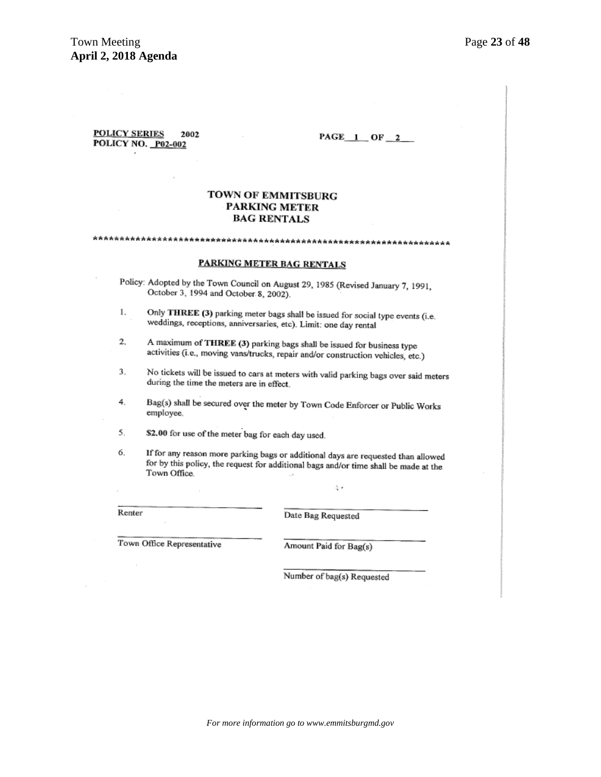#### **POLICY SERIES** 2002 POLICY NO. P02-002

 $PAGE_1$  OF  $_2$ 

#### TOWN OF EMMITSBURG PARKING METER **BAG RENTALS**

# 

#### **PARKING METER BAG RENTALS**

Policy: Adopted by the Town Council on August 29, 1985 (Revised January 7, 1991, October 3, 1994 and October 8, 2002).

- Only THREE (3) parking meter bags shall be issued for social type events (i.e. 1. weddings, receptions, anniversaries, etc). Limit: one day rental
- 2. A maximum of THREE (3) parking bags shall be issued for business type activities (i.e., moving vans/trucks, repair and/or construction vehicles, etc.)
- 3. No tickets will be issued to cars at meters with valid parking bags over said meters during the time the meters are in effect.
- 4. Bag(s) shall be secured over the meter by Town Code Enforcer or Public Works employee.
- \$2.00 for use of the meter bag for each day used. 5.
- 6. If for any reason more parking bags or additional days are requested than allowed for by this policy, the request for additional bags and/or time shall be made at the Town Office.

Renter

Date Bag Requested

Town Office Representative

Amount Paid for Bag(s)

Number of bag(s) Requested

ą.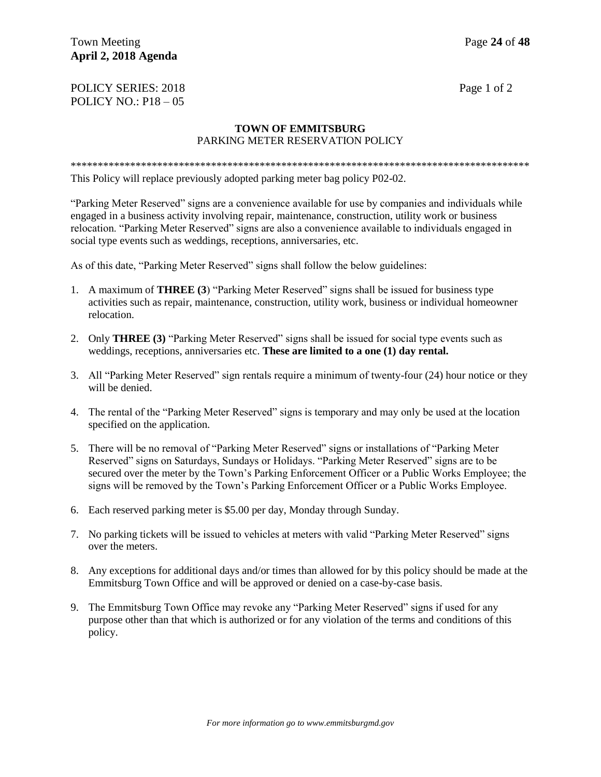### Town Meeting **Page 24** of **48 April 2, 2018 Agenda**

### POLICY SERIES: 2018 Page 1 of 2 POLICY NO.: P18 – 05

### **TOWN OF EMMITSBURG** PARKING METER RESERVATION POLICY

\*\*\*\*\*\*\*\*\*\*\*\*\*\*\*\*\*\*\*\*\*\*\*\*\*\*\*\*\*\*\*\*\*\*\*\*\*\*\*\*\*\*\*\*\*\*\*\*\*\*\*\*\*\*\*\*\*\*\*\*\*\*\*\*\*\*\*\*\*\*\*\*\*\*\*\*\*\*\*\*\*\*\*\*\* This Policy will replace previously adopted parking meter bag policy P02-02.

"Parking Meter Reserved" signs are a convenience available for use by companies and individuals while engaged in a business activity involving repair, maintenance, construction, utility work or business relocation. "Parking Meter Reserved" signs are also a convenience available to individuals engaged in social type events such as weddings, receptions, anniversaries, etc.

As of this date, "Parking Meter Reserved" signs shall follow the below guidelines:

- 1. A maximum of **THREE (3**) "Parking Meter Reserved" signs shall be issued for business type activities such as repair, maintenance, construction, utility work, business or individual homeowner relocation.
- 2. Only **THREE (3)** "Parking Meter Reserved" signs shall be issued for social type events such as weddings, receptions, anniversaries etc. **These are limited to a one (1) day rental.**
- 3. All "Parking Meter Reserved" sign rentals require a minimum of twenty-four (24) hour notice or they will be denied.
- 4. The rental of the "Parking Meter Reserved" signs is temporary and may only be used at the location specified on the application.
- 5. There will be no removal of "Parking Meter Reserved" signs or installations of "Parking Meter Reserved" signs on Saturdays, Sundays or Holidays. "Parking Meter Reserved" signs are to be secured over the meter by the Town's Parking Enforcement Officer or a Public Works Employee; the signs will be removed by the Town's Parking Enforcement Officer or a Public Works Employee.
- 6. Each reserved parking meter is \$5.00 per day, Monday through Sunday.
- 7. No parking tickets will be issued to vehicles at meters with valid "Parking Meter Reserved" signs over the meters.
- 8. Any exceptions for additional days and/or times than allowed for by this policy should be made at the Emmitsburg Town Office and will be approved or denied on a case-by-case basis.
- 9. The Emmitsburg Town Office may revoke any "Parking Meter Reserved" signs if used for any purpose other than that which is authorized or for any violation of the terms and conditions of this policy.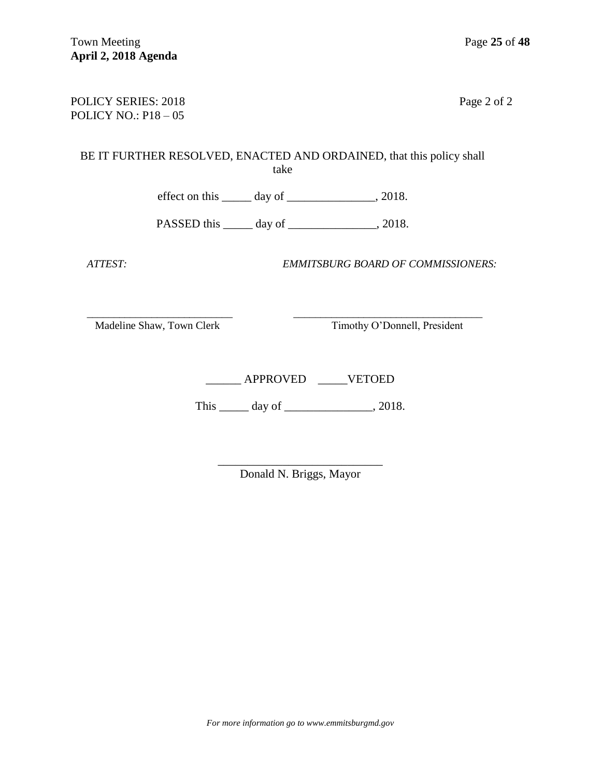### POLICY SERIES: 2018 Page 2 of 2 POLICY NO.: P18 – 05

# BE IT FURTHER RESOLVED, ENACTED AND ORDAINED, that this policy shall take

effect on this  $\_\_\_\_\$  day of  $\_\_\_\_\_\_\$ , 2018.

PASSED this \_\_\_\_\_\_ day of \_\_\_\_\_\_\_\_\_\_\_\_\_\_, 2018.

 *ATTEST: EMMITSBURG BOARD OF COMMISSIONERS:*

 $\overline{\phantom{a}}$  , and the contribution of the contribution of  $\overline{\phantom{a}}$  , and  $\overline{\phantom{a}}$  , and  $\overline{\phantom{a}}$  , and  $\overline{\phantom{a}}$  , and  $\overline{\phantom{a}}$  , and  $\overline{\phantom{a}}$  , and  $\overline{\phantom{a}}$  , and  $\overline{\phantom{a}}$  , and  $\overline{\phantom{a}}$  , and Madeline Shaw, Town Clerk Timothy O'Donnell, President

\_\_\_\_\_\_ APPROVED \_\_\_\_\_VETOED

This \_\_\_\_\_\_ day of \_\_\_\_\_\_\_\_\_\_\_\_\_\_, 2018.

\_\_\_\_\_\_\_\_\_\_\_\_\_\_\_\_\_\_\_\_\_\_\_\_\_\_\_\_ Donald N. Briggs, Mayor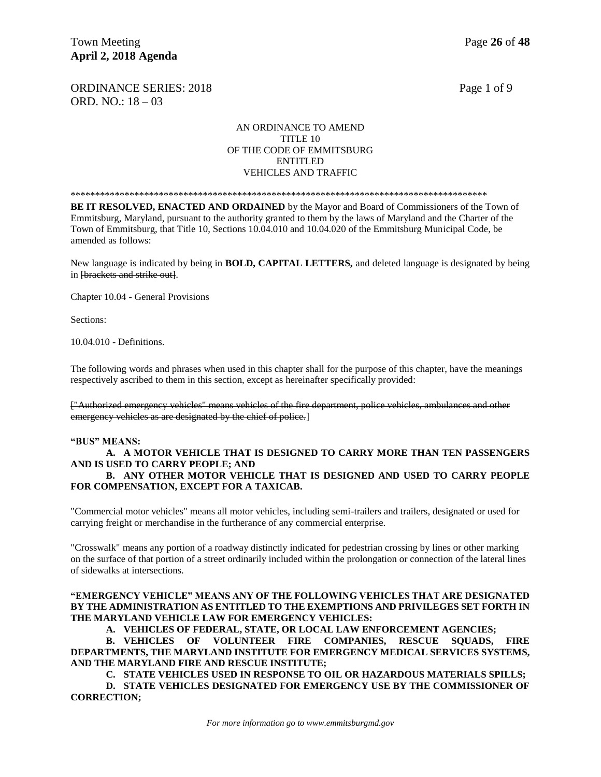ORDINANCE SERIES: 2018 Page 1 of 9 ORD. NO.: 18 – 03

#### AN ORDINANCE TO AMEND TITLE 10 OF THE CODE OF EMMITSBURG ENTITLED VEHICLES AND TRAFFIC

\*\*\*\*\*\*\*\*\*\*\*\*\*\*\*\*\*\*\*\*\*\*\*\*\*\*\*\*\*\*\*\*\*\*\*\*\*\*\*\*\*\*\*\*\*\*\*\*\*\*\*\*\*\*\*\*\*\*\*\*\*\*\*\*\*\*\*\*\*\*\*\*\*\*\*\*\*\*\*\*\*\*\*\*\*

**BE IT RESOLVED, ENACTED AND ORDAINED** by the Mayor and Board of Commissioners of the Town of Emmitsburg, Maryland, pursuant to the authority granted to them by the laws of Maryland and the Charter of the Town of Emmitsburg, that Title 10, Sections 10.04.010 and 10.04.020 of the Emmitsburg Municipal Code, be amended as follows:

New language is indicated by being in **BOLD, CAPITAL LETTERS,** and deleted language is designated by being in [brackets and strike out].

Chapter 10.04 - General Provisions

Sections:

10.04.010 - Definitions.

The following words and phrases when used in this chapter shall for the purpose of this chapter, have the meanings respectively ascribed to them in this section, except as hereinafter specifically provided:

["Authorized emergency vehicles" means vehicles of the fire department, police vehicles, ambulances and other emergency vehicles as are designated by the chief of police.

#### **"BUS" MEANS:**

### **A. A MOTOR VEHICLE THAT IS DESIGNED TO CARRY MORE THAN TEN PASSENGERS AND IS USED TO CARRY PEOPLE; AND**

**B. ANY OTHER MOTOR VEHICLE THAT IS DESIGNED AND USED TO CARRY PEOPLE FOR COMPENSATION, EXCEPT FOR A TAXICAB.** 

"Commercial motor vehicles" means all motor vehicles, including semi-trailers and trailers, designated or used for carrying freight or merchandise in the furtherance of any commercial enterprise.

"Crosswalk" means any portion of a roadway distinctly indicated for pedestrian crossing by lines or other marking on the surface of that portion of a street ordinarily included within the prolongation or connection of the lateral lines of sidewalks at intersections.

#### **"EMERGENCY VEHICLE" MEANS ANY OF THE FOLLOWING VEHICLES THAT ARE DESIGNATED BY THE ADMINISTRATION AS ENTITLED TO THE EXEMPTIONS AND PRIVILEGES SET FORTH IN THE MARYLAND VEHICLE LAW FOR EMERGENCY VEHICLES:**

**A. VEHICLES OF FEDERAL, STATE, OR LOCAL LAW ENFORCEMENT AGENCIES;**

**B. VEHICLES OF VOLUNTEER FIRE COMPANIES, RESCUE SQUADS, FIRE DEPARTMENTS, THE MARYLAND INSTITUTE FOR EMERGENCY MEDICAL SERVICES SYSTEMS, AND THE MARYLAND FIRE AND RESCUE INSTITUTE;**

**C. STATE VEHICLES USED IN RESPONSE TO OIL OR HAZARDOUS MATERIALS SPILLS;**

**D. STATE VEHICLES DESIGNATED FOR EMERGENCY USE BY THE COMMISSIONER OF CORRECTION;**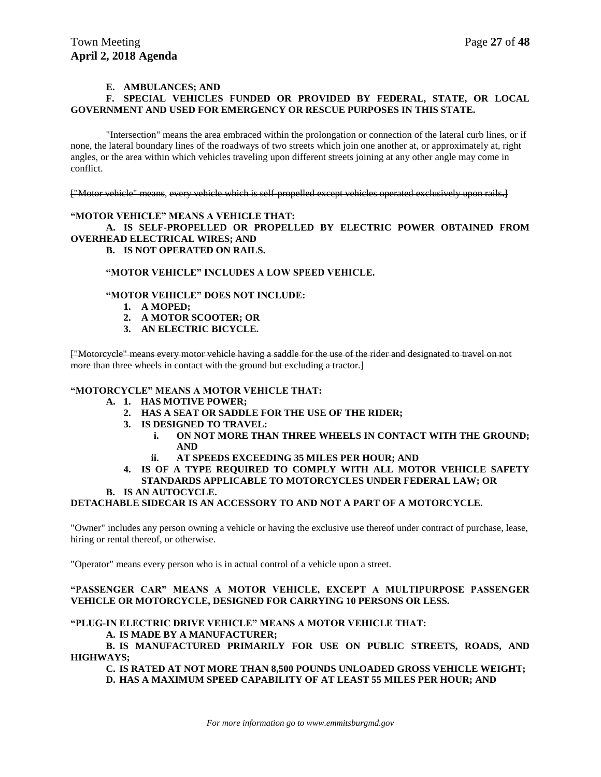#### **E. AMBULANCES; AND**

#### **F. SPECIAL VEHICLES FUNDED OR PROVIDED BY FEDERAL, STATE, OR LOCAL GOVERNMENT AND USED FOR EMERGENCY OR RESCUE PURPOSES IN THIS STATE.**

"Intersection" means the area embraced within the prolongation or connection of the lateral curb lines, or if none, the lateral boundary lines of the roadways of two streets which join one another at, or approximately at, right angles, or the area within which vehicles traveling upon different streets joining at any other angle may come in conflict.

["Motor vehicle" means, every vehicle which is self-propelled except vehicles operated exclusively upon rails**.]** 

#### **"MOTOR VEHICLE" MEANS A VEHICLE THAT: A. IS SELF-PROPELLED OR PROPELLED BY ELECTRIC POWER OBTAINED FROM OVERHEAD ELECTRICAL WIRES; AND B. IS NOT OPERATED ON RAILS.**

#### **"MOTOR VEHICLE" INCLUDES A LOW SPEED VEHICLE.**

#### **"MOTOR VEHICLE" DOES NOT INCLUDE:**

- **1. A MOPED;**
- **2. A MOTOR SCOOTER; OR**
- **3. AN ELECTRIC BICYCLE.**

["Motorcycle" means every motor vehicle having a saddle for the use of the rider and designated to travel on not more than three wheels in contact with the ground but excluding a tractor.

#### **"MOTORCYCLE" MEANS A MOTOR VEHICLE THAT:**

- **A. 1. HAS MOTIVE POWER;**
	- **2. HAS A SEAT OR SADDLE FOR THE USE OF THE RIDER;**
	- **3. IS DESIGNED TO TRAVEL:** 
		- **i. ON NOT MORE THAN THREE WHEELS IN CONTACT WITH THE GROUND; AND**
		- **ii. AT SPEEDS EXCEEDING 35 MILES PER HOUR; AND**
	- **4. IS OF A TYPE REQUIRED TO COMPLY WITH ALL MOTOR VEHICLE SAFETY STANDARDS APPLICABLE TO MOTORCYCLES UNDER FEDERAL LAW; OR**
- **B. IS AN AUTOCYCLE.**

#### **DETACHABLE SIDECAR IS AN ACCESSORY TO AND NOT A PART OF A MOTORCYCLE.**

"Owner" includes any person owning a vehicle or having the exclusive use thereof under contract of purchase, lease, hiring or rental thereof, or otherwise.

"Operator" means every person who is in actual control of a vehicle upon a street.

#### **"PASSENGER CAR" MEANS A MOTOR VEHICLE, EXCEPT A MULTIPURPOSE PASSENGER VEHICLE OR MOTORCYCLE, DESIGNED FOR CARRYING 10 PERSONS OR LESS.**

#### **"PLUG-IN ELECTRIC DRIVE VEHICLE" MEANS A MOTOR VEHICLE THAT:**

#### **A. IS MADE BY A MANUFACTURER;**

**B. IS MANUFACTURED PRIMARILY FOR USE ON PUBLIC STREETS, ROADS, AND HIGHWAYS;**

**C. IS RATED AT NOT MORE THAN 8,500 POUNDS UNLOADED GROSS VEHICLE WEIGHT; D. HAS A MAXIMUM SPEED CAPABILITY OF AT LEAST 55 MILES PER HOUR; AND**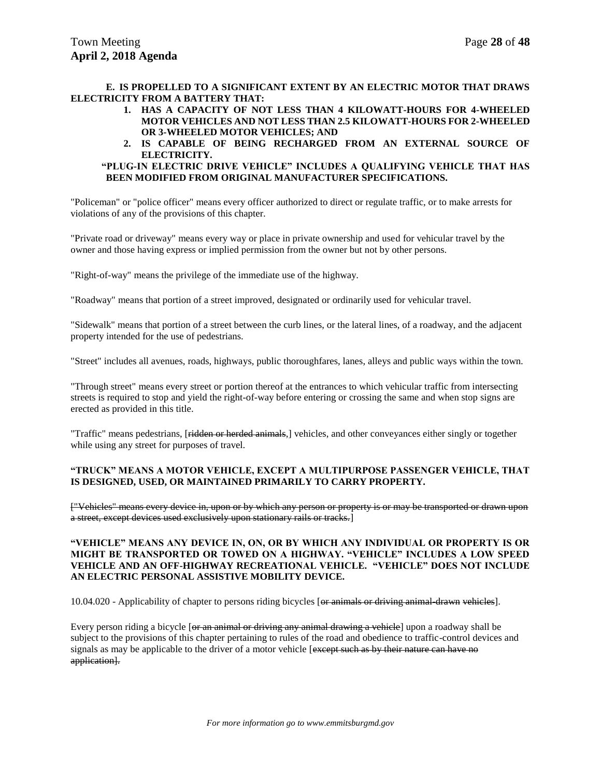#### **E. IS PROPELLED TO A SIGNIFICANT EXTENT BY AN ELECTRIC MOTOR THAT DRAWS ELECTRICITY FROM A BATTERY THAT:**

- **1. HAS A CAPACITY OF NOT LESS THAN 4 KILOWATT-HOURS FOR 4-WHEELED MOTOR VEHICLES AND NOT LESS THAN 2.5 KILOWATT-HOURS FOR 2-WHEELED OR 3-WHEELED MOTOR VEHICLES; AND**
- **2. IS CAPABLE OF BEING RECHARGED FROM AN EXTERNAL SOURCE OF ELECTRICITY.**

#### **"PLUG-IN ELECTRIC DRIVE VEHICLE" INCLUDES A QUALIFYING VEHICLE THAT HAS BEEN MODIFIED FROM ORIGINAL MANUFACTURER SPECIFICATIONS.**

"Policeman" or "police officer" means every officer authorized to direct or regulate traffic, or to make arrests for violations of any of the provisions of this chapter.

"Private road or driveway" means every way or place in private ownership and used for vehicular travel by the owner and those having express or implied permission from the owner but not by other persons.

"Right-of-way" means the privilege of the immediate use of the highway.

"Roadway" means that portion of a street improved, designated or ordinarily used for vehicular travel.

"Sidewalk" means that portion of a street between the curb lines, or the lateral lines, of a roadway, and the adjacent property intended for the use of pedestrians.

"Street" includes all avenues, roads, highways, public thoroughfares, lanes, alleys and public ways within the town.

"Through street" means every street or portion thereof at the entrances to which vehicular traffic from intersecting streets is required to stop and yield the right-of-way before entering or crossing the same and when stop signs are erected as provided in this title.

"Traffic" means pedestrians, [<del>ridden or herded animals</del>,] vehicles, and other conveyances either singly or together while using any street for purposes of travel.

#### **"TRUCK" MEANS A MOTOR VEHICLE, EXCEPT A MULTIPURPOSE PASSENGER VEHICLE, THAT IS DESIGNED, USED, OR MAINTAINED PRIMARILY TO CARRY PROPERTY.**

["Vehicles" means every device in, upon or by which any person or property is or may be transported or drawn upon a street, except devices used exclusively upon stationary rails or tracks.]

#### **"VEHICLE" MEANS ANY DEVICE IN, ON, OR BY WHICH ANY INDIVIDUAL OR PROPERTY IS OR MIGHT BE TRANSPORTED OR TOWED ON A HIGHWAY. "VEHICLE" INCLUDES A LOW SPEED VEHICLE AND AN OFF-HIGHWAY RECREATIONAL VEHICLE. "VEHICLE" DOES NOT INCLUDE AN ELECTRIC PERSONAL ASSISTIVE MOBILITY DEVICE.**

10.04.020 - Applicability of chapter to persons riding bicycles [or animals or driving animal-drawn vehicles].

Every person riding a bicycle [or an animal or driving any animal drawing a vehicle] upon a roadway shall be subject to the provisions of this chapter pertaining to rules of the road and obedience to traffic-control devices and signals as may be applicable to the driver of a motor vehicle [except such as by their nature can have no application].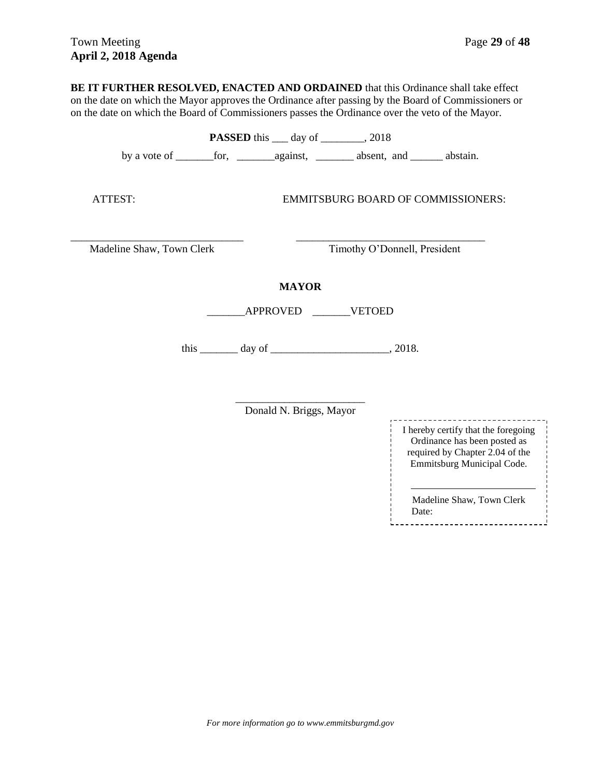**BE IT FURTHER RESOLVED, ENACTED AND ORDAINED** that this Ordinance shall take effect on the date on which the Mayor approves the Ordinance after passing by the Board of Commissioners or on the date on which the Board of Commissioners passes the Ordinance over the veto of the Mayor. **PASSED** this \_\_\_ day of \_\_\_\_\_\_\_, 2018 by a vote of \_\_\_\_\_\_\_for, \_\_\_\_\_\_\_against, \_\_\_\_\_\_\_ absent, and \_\_\_\_\_\_ abstain.

ATTEST: EMMITSBURG BOARD OF COMMISSIONERS:

\_\_\_\_\_\_\_\_\_\_\_\_\_\_\_\_\_\_\_\_\_\_\_\_\_\_\_\_\_\_\_\_ \_\_\_\_\_\_\_\_\_\_\_\_\_\_\_\_\_\_\_\_\_\_\_\_\_\_\_\_\_\_\_\_\_\_\_ Madeline Shaw, Town Clerk Timothy O'Donnell, President

### **MAYOR**

\_\_\_\_\_\_\_APPROVED \_\_\_\_\_\_\_VETOED

this  $\frac{day \text{ of } (x,y) - y}{y}$ , 2018.

\_\_\_\_\_\_\_\_\_\_\_\_\_\_\_\_\_\_\_\_\_\_\_\_ Donald N. Briggs, Mayor

------------------------------I hereby certify that the foregoing Ordinance has been posted as required by Chapter 2.04 of the Emmitsburg Municipal Code.

Madeline Shaw, Town Clerk Date: --------------------------------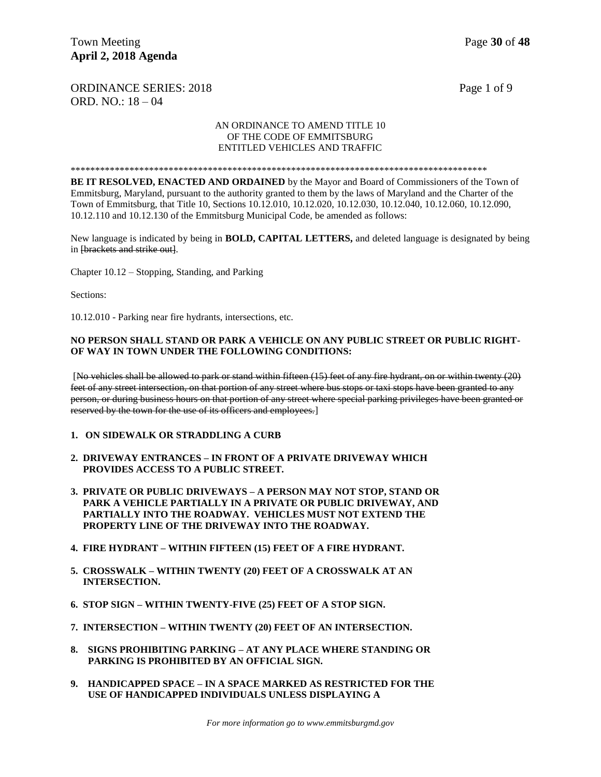ORDINANCE SERIES: 2018 Page 1 of 9 ORD. NO.: 18 – 04

#### AN ORDINANCE TO AMEND TITLE 10 OF THE CODE OF EMMITSBURG ENTITLED VEHICLES AND TRAFFIC

#### \*\*\*\*\*\*\*\*\*\*\*\*\*\*\*\*\*\*\*\*\*\*\*\*\*\*\*\*\*\*\*\*\*\*\*\*\*\*\*\*\*\*\*\*\*\*\*\*\*\*\*\*\*\*\*\*\*\*\*\*\*\*\*\*\*\*\*\*\*\*\*\*\*\*\*\*\*\*\*\*\*\*\*\*\*

**BE IT RESOLVED, ENACTED AND ORDAINED** by the Mayor and Board of Commissioners of the Town of Emmitsburg, Maryland, pursuant to the authority granted to them by the laws of Maryland and the Charter of the Town of Emmitsburg, that Title 10, Sections 10.12.010, 10.12.020, 10.12.030, 10.12.040, 10.12.060, 10.12.090, 10.12.110 and 10.12.130 of the Emmitsburg Municipal Code, be amended as follows:

New language is indicated by being in **BOLD, CAPITAL LETTERS,** and deleted language is designated by being in [brackets and strike out].

Chapter 10.12 – Stopping, Standing, and Parking

Sections:

10.12.010 - Parking near fire hydrants, intersections, etc.

#### **NO PERSON SHALL STAND OR PARK A VEHICLE ON ANY PUBLIC STREET OR PUBLIC RIGHT-OF WAY IN TOWN UNDER THE FOLLOWING CONDITIONS:**

[No vehicles shall be allowed to park or stand within fifteen (15) feet of any fire hydrant, on or within twenty (20) feet of any street intersection, on that portion of any street where bus stops or taxi stops have been granted to any person, or during business hours on that portion of any street where special parking privileges have been granted or reserved by the town for the use of its officers and employees.]

- **1. ON SIDEWALK OR STRADDLING A CURB**
- **2. DRIVEWAY ENTRANCES – IN FRONT OF A PRIVATE DRIVEWAY WHICH PROVIDES ACCESS TO A PUBLIC STREET.**
- **3. PRIVATE OR PUBLIC DRIVEWAYS – A PERSON MAY NOT STOP, STAND OR PARK A VEHICLE PARTIALLY IN A PRIVATE OR PUBLIC DRIVEWAY, AND PARTIALLY INTO THE ROADWAY. VEHICLES MUST NOT EXTEND THE PROPERTY LINE OF THE DRIVEWAY INTO THE ROADWAY.**
- **4. FIRE HYDRANT – WITHIN FIFTEEN (15) FEET OF A FIRE HYDRANT.**
- **5. CROSSWALK – WITHIN TWENTY (20) FEET OF A CROSSWALK AT AN INTERSECTION.**
- **6. STOP SIGN – WITHIN TWENTY-FIVE (25) FEET OF A STOP SIGN.**
- **7. INTERSECTION – WITHIN TWENTY (20) FEET OF AN INTERSECTION.**
- **8. SIGNS PROHIBITING PARKING – AT ANY PLACE WHERE STANDING OR PARKING IS PROHIBITED BY AN OFFICIAL SIGN.**
- **9. HANDICAPPED SPACE – IN A SPACE MARKED AS RESTRICTED FOR THE USE OF HANDICAPPED INDIVIDUALS UNLESS DISPLAYING A**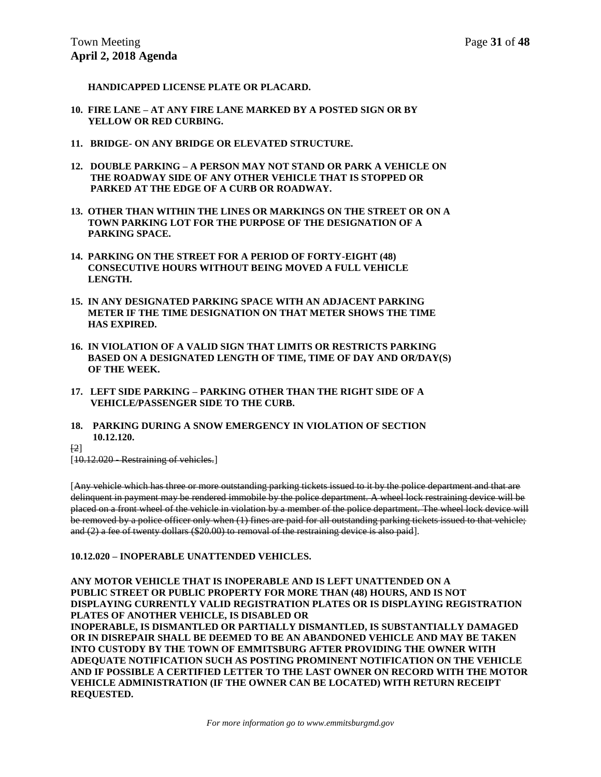**HANDICAPPED LICENSE PLATE OR PLACARD.** 

- **10. FIRE LANE – AT ANY FIRE LANE MARKED BY A POSTED SIGN OR BY YELLOW OR RED CURBING.**
- **11. BRIDGE- ON ANY BRIDGE OR ELEVATED STRUCTURE.**
- **12. DOUBLE PARKING – A PERSON MAY NOT STAND OR PARK A VEHICLE ON THE ROADWAY SIDE OF ANY OTHER VEHICLE THAT IS STOPPED OR PARKED AT THE EDGE OF A CURB OR ROADWAY.**
- **13. OTHER THAN WITHIN THE LINES OR MARKINGS ON THE STREET OR ON A TOWN PARKING LOT FOR THE PURPOSE OF THE DESIGNATION OF A PARKING SPACE.**
- **14. PARKING ON THE STREET FOR A PERIOD OF FORTY-EIGHT (48) CONSECUTIVE HOURS WITHOUT BEING MOVED A FULL VEHICLE LENGTH.**
- **15. IN ANY DESIGNATED PARKING SPACE WITH AN ADJACENT PARKING METER IF THE TIME DESIGNATION ON THAT METER SHOWS THE TIME HAS EXPIRED.**
- **16. IN VIOLATION OF A VALID SIGN THAT LIMITS OR RESTRICTS PARKING BASED ON A DESIGNATED LENGTH OF TIME, TIME OF DAY AND OR/DAY(S) OF THE WEEK.**
- **17. LEFT SIDE PARKING – PARKING OTHER THAN THE RIGHT SIDE OF A VEHICLE/PASSENGER SIDE TO THE CURB.**
- **18. PARKING DURING A SNOW EMERGENCY IN VIOLATION OF SECTION 10.12.120.**
- [2]

[10.12.020 Restraining of vehicles.]

[Any vehicle which has three or more outstanding parking tickets issued to it by the police department and that are delinquent in payment may be rendered immobile by the police department. A wheel lock restraining device will be placed on a front wheel of the vehicle in violation by a member of the police department. The wheel lock device will be removed by a police officer only when (1) fines are paid for all outstanding parking tickets issued to that vehicle; and (2) a fee of twenty dollars (\$20.00) to removal of the restraining device is also paid].

#### **10.12.020 – INOPERABLE UNATTENDED VEHICLES.**

**ANY MOTOR VEHICLE THAT IS INOPERABLE AND IS LEFT UNATTENDED ON A PUBLIC STREET OR PUBLIC PROPERTY FOR MORE THAN (48) HOURS, AND IS NOT DISPLAYING CURRENTLY VALID REGISTRATION PLATES OR IS DISPLAYING REGISTRATION PLATES OF ANOTHER VEHICLE, IS DISABLED OR INOPERABLE, IS DISMANTLED OR PARTIALLY DISMANTLED, IS SUBSTANTIALLY DAMAGED OR IN DISREPAIR SHALL BE DEEMED TO BE AN ABANDONED VEHICLE AND MAY BE TAKEN INTO CUSTODY BY THE TOWN OF EMMITSBURG AFTER PROVIDING THE OWNER WITH ADEQUATE NOTIFICATION SUCH AS POSTING PROMINENT NOTIFICATION ON THE VEHICLE AND IF POSSIBLE A CERTIFIED LETTER TO THE LAST OWNER ON RECORD WITH THE MOTOR VEHICLE ADMINISTRATION (IF THE OWNER CAN BE LOCATED) WITH RETURN RECEIPT REQUESTED.**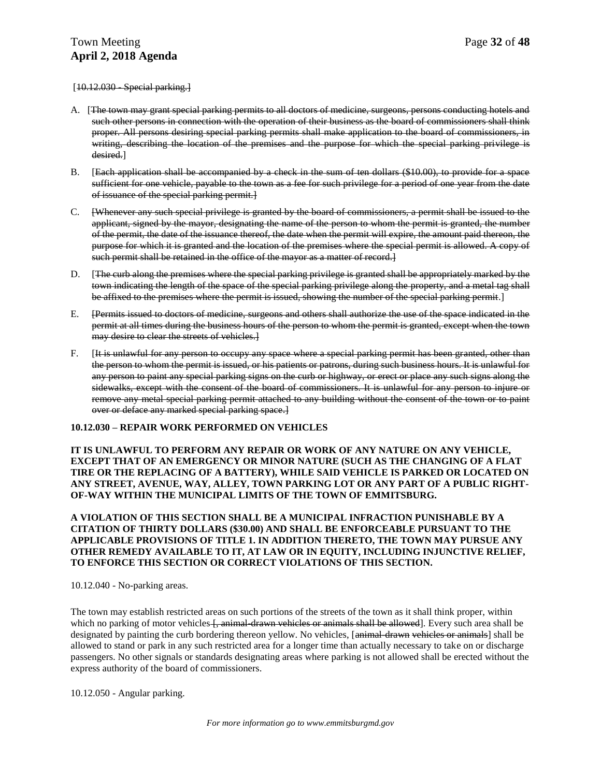$[10.12.030$  Special parking.

- A. [The town may grant special parking permits to all doctors of medicine, surgeons, persons conducting hotels and such other persons in connection with the operation of their business as the board of commissioners shall think proper. All persons desiring special parking permits shall make application to the board of commissioners, in writing, describing the location of the premises and the purpose for which the special parking privilege is desired.]
- B. [Each application shall be accompanied by a check in the sum of ten dollars (\$10.00), to provide for a space sufficient for one vehicle, payable to the town as a fee for such privilege for a period of one year from the date of issuance of the special parking permit.]
- C. [Whenever any such special privilege is granted by the board of commissioners, a permit shall be issued to the applicant, signed by the mayor, designating the name of the person to whom the permit is granted, the number of the permit, the date of the issuance thereof, the date when the permit will expire, the amount paid thereon, the purpose for which it is granted and the location of the premises where the special permit is allowed. A copy of such permit shall be retained in the office of the mayor as a matter of record.
- D. [The curb along the premises where the special parking privilege is granted shall be appropriately marked by the town indicating the length of the space of the special parking privilege along the property, and a metal tag shall be affixed to the premises where the permit is issued, showing the number of the special parking permit.]
- E. [Permits issued to doctors of medicine, surgeons and others shall authorize the use of the space indicated in the permit at all times during the business hours of the person to whom the permit is granted, except when the town may desire to clear the streets of vehicles.]
- F. [It is unlawful for any person to occupy any space where a special parking permit has been granted, other than the person to whom the permit is issued, or his patients or patrons, during such business hours. It is unlawful for any person to paint any special parking signs on the curb or highway, or erect or place any such signs along the sidewalks, except with the consent of the board of commissioners. It is unlawful for any person to injure or remove any metal special parking permit attached to any building without the consent of the town or to paint over or deface any marked special parking space.]

#### **10.12.030 – REPAIR WORK PERFORMED ON VEHICLES**

#### **IT IS UNLAWFUL TO PERFORM ANY REPAIR OR WORK OF ANY NATURE ON ANY VEHICLE, EXCEPT THAT OF AN EMERGENCY OR MINOR NATURE (SUCH AS THE CHANGING OF A FLAT TIRE OR THE REPLACING OF A BATTERY), WHILE SAID VEHICLE IS PARKED OR LOCATED ON ANY STREET, AVENUE, WAY, ALLEY, TOWN PARKING LOT OR ANY PART OF A PUBLIC RIGHT-OF-WAY WITHIN THE MUNICIPAL LIMITS OF THE TOWN OF EMMITSBURG.**

**A VIOLATION OF THIS SECTION SHALL BE A MUNICIPAL INFRACTION PUNISHABLE BY A CITATION OF THIRTY DOLLARS (\$30.00) AND SHALL BE ENFORCEABLE PURSUANT TO THE APPLICABLE PROVISIONS OF TITLE 1. IN ADDITION THERETO, THE TOWN MAY PURSUE ANY OTHER REMEDY AVAILABLE TO IT, AT LAW OR IN EQUITY, INCLUDING INJUNCTIVE RELIEF, TO ENFORCE THIS SECTION OR CORRECT VIOLATIONS OF THIS SECTION.** 

10.12.040 - No-parking areas.

The town may establish restricted areas on such portions of the streets of the town as it shall think proper, within which no parking of motor vehicles f, animal-drawn vehicles or animals shall be allowed]. Every such area shall be designated by painting the curb bordering thereon yellow. No vehicles, [animal-drawn vehicles or animals] shall be allowed to stand or park in any such restricted area for a longer time than actually necessary to take on or discharge passengers. No other signals or standards designating areas where parking is not allowed shall be erected without the express authority of the board of commissioners.

10.12.050 - Angular parking.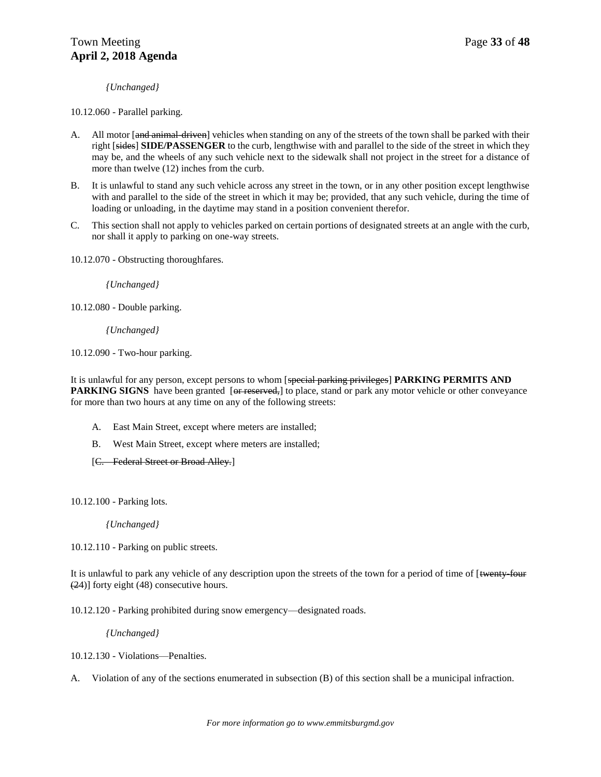*{Unchanged}*

10.12.060 - Parallel parking.

- A. All motor [and animal-driven] vehicles when standing on any of the streets of the town shall be parked with their right [sides] **SIDE/PASSENGER** to the curb, lengthwise with and parallel to the side of the street in which they may be, and the wheels of any such vehicle next to the sidewalk shall not project in the street for a distance of more than twelve (12) inches from the curb.
- B. It is unlawful to stand any such vehicle across any street in the town, or in any other position except lengthwise with and parallel to the side of the street in which it may be; provided, that any such vehicle, during the time of loading or unloading, in the daytime may stand in a position convenient therefor.
- C. This section shall not apply to vehicles parked on certain portions of designated streets at an angle with the curb, nor shall it apply to parking on one-way streets.

10.12.070 - Obstructing thoroughfares.

*{Unchanged}*

10.12.080 - Double parking.

*{Unchanged}*

10.12.090 - Two-hour parking.

It is unlawful for any person, except persons to whom [special parking privileges] **PARKING PERMITS AND PARKING SIGNS** have been granted [or reserved,] to place, stand or park any motor vehicle or other conveyance for more than two hours at any time on any of the following streets:

- A. East Main Street, except where meters are installed;
- B. West Main Street, except where meters are installed;
- [C. Federal Street or Broad Alley.]

10.12.100 - Parking lots.

*{Unchanged}*

10.12.110 - Parking on public streets.

It is unlawful to park any vehicle of any description upon the streets of the town for a period of time of [twenty-four (24)] forty eight (48) consecutive hours.

10.12.120 - Parking prohibited during snow emergency—designated roads.

*{Unchanged}*

10.12.130 - Violations—Penalties.

A. Violation of any of the sections enumerated in subsection (B) of this section shall be a municipal infraction.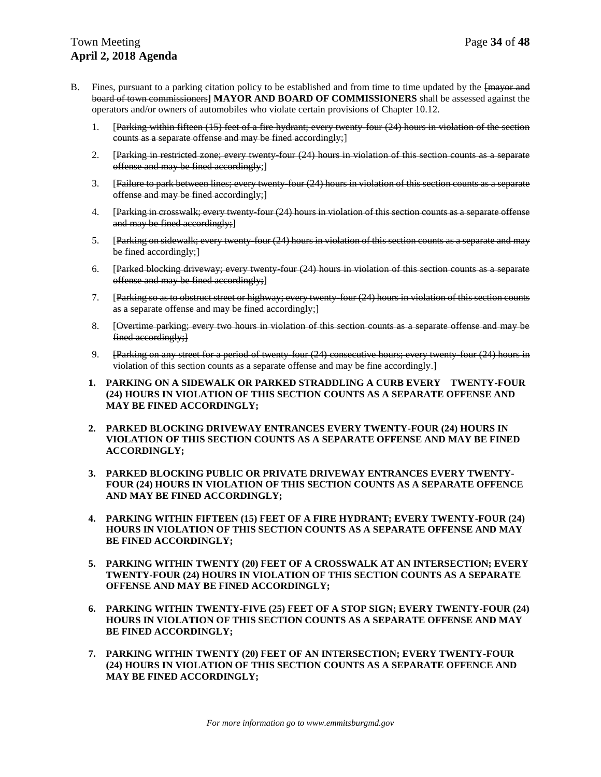### Town Meeting **Page 34** of **48 April 2, 2018 Agenda**

- B. Fines, pursuant to a parking citation policy to be established and from time to time updated by the  $\frac{1}{2}$  [mayor and board of town commissioners**] MAYOR AND BOARD OF COMMISSIONERS** shall be assessed against the operators and/or owners of automobiles who violate certain provisions of Chapter 10.12.
	- 1. [Parking within fifteen (15) feet of a fire hydrant; every twenty-four (24) hours in violation of the section counts as a separate offense and may be fined accordingly;]
	- 2. [Parking in restricted zone; every twenty-four (24) hours in violation of this section counts as a separate offense and may be fined accordingly;]
	- 3. [Failure to park between lines; every twenty-four (24) hours in violation of this section counts as a separate offense and may be fined accordingly;]
	- 4. [Parking in crosswalk; every twenty-four (24) hours in violation of this section counts as a separate offense and may be fined accordingly;
	- 5. [Parking on sidewalk; every twenty-four (24) hours in violation of this section counts as a separate and may be fined accordingly;]
	- 6. [Parked blocking driveway; every twenty-four (24) hours in violation of this section counts as a separate offense and may be fined accordingly;]
	- 7. [Parking so as to obstruct street or highway; every twenty-four (24) hours in violation of this section counts as a separate offense and may be fined accordingly;]
	- 8. [Overtime parking; every two hours in violation of this section counts as a separate offense and may be fined accordingly;
	- 9. [Parking on any street for a period of twenty-four (24) consecutive hours; every twenty-four (24) hours in violation of this section counts as a separate offense and may be fine accordingly.]
	- **1. PARKING ON A SIDEWALK OR PARKED STRADDLING A CURB EVERY TWENTY-FOUR (24) HOURS IN VIOLATION OF THIS SECTION COUNTS AS A SEPARATE OFFENSE AND MAY BE FINED ACCORDINGLY;**
	- **2. PARKED BLOCKING DRIVEWAY ENTRANCES EVERY TWENTY-FOUR (24) HOURS IN VIOLATION OF THIS SECTION COUNTS AS A SEPARATE OFFENSE AND MAY BE FINED ACCORDINGLY;**
	- **3. PARKED BLOCKING PUBLIC OR PRIVATE DRIVEWAY ENTRANCES EVERY TWENTY-FOUR (24) HOURS IN VIOLATION OF THIS SECTION COUNTS AS A SEPARATE OFFENCE AND MAY BE FINED ACCORDINGLY;**
	- **4. PARKING WITHIN FIFTEEN (15) FEET OF A FIRE HYDRANT; EVERY TWENTY-FOUR (24) HOURS IN VIOLATION OF THIS SECTION COUNTS AS A SEPARATE OFFENSE AND MAY BE FINED ACCORDINGLY;**
	- **5. PARKING WITHIN TWENTY (20) FEET OF A CROSSWALK AT AN INTERSECTION; EVERY TWENTY-FOUR (24) HOURS IN VIOLATION OF THIS SECTION COUNTS AS A SEPARATE OFFENSE AND MAY BE FINED ACCORDINGLY;**
	- **6. PARKING WITHIN TWENTY-FIVE (25) FEET OF A STOP SIGN; EVERY TWENTY-FOUR (24) HOURS IN VIOLATION OF THIS SECTION COUNTS AS A SEPARATE OFFENSE AND MAY BE FINED ACCORDINGLY;**
	- **7. PARKING WITHIN TWENTY (20) FEET OF AN INTERSECTION; EVERY TWENTY-FOUR (24) HOURS IN VIOLATION OF THIS SECTION COUNTS AS A SEPARATE OFFENCE AND MAY BE FINED ACCORDINGLY;**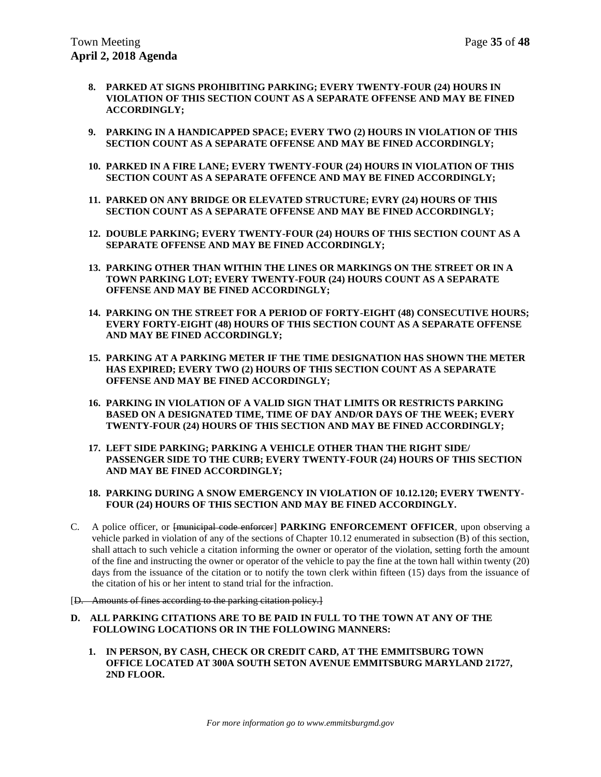- **8. PARKED AT SIGNS PROHIBITING PARKING; EVERY TWENTY-FOUR (24) HOURS IN VIOLATION OF THIS SECTION COUNT AS A SEPARATE OFFENSE AND MAY BE FINED ACCORDINGLY;**
- **9. PARKING IN A HANDICAPPED SPACE; EVERY TWO (2) HOURS IN VIOLATION OF THIS SECTION COUNT AS A SEPARATE OFFENSE AND MAY BE FINED ACCORDINGLY;**
- **10. PARKED IN A FIRE LANE; EVERY TWENTY-FOUR (24) HOURS IN VIOLATION OF THIS SECTION COUNT AS A SEPARATE OFFENCE AND MAY BE FINED ACCORDINGLY;**
- **11. PARKED ON ANY BRIDGE OR ELEVATED STRUCTURE; EVRY (24) HOURS OF THIS SECTION COUNT AS A SEPARATE OFFENSE AND MAY BE FINED ACCORDINGLY;**
- **12. DOUBLE PARKING; EVERY TWENTY-FOUR (24) HOURS OF THIS SECTION COUNT AS A SEPARATE OFFENSE AND MAY BE FINED ACCORDINGLY;**
- **13. PARKING OTHER THAN WITHIN THE LINES OR MARKINGS ON THE STREET OR IN A TOWN PARKING LOT; EVERY TWENTY-FOUR (24) HOURS COUNT AS A SEPARATE OFFENSE AND MAY BE FINED ACCORDINGLY;**
- **14. PARKING ON THE STREET FOR A PERIOD OF FORTY-EIGHT (48) CONSECUTIVE HOURS; EVERY FORTY-EIGHT (48) HOURS OF THIS SECTION COUNT AS A SEPARATE OFFENSE AND MAY BE FINED ACCORDINGLY;**
- **15. PARKING AT A PARKING METER IF THE TIME DESIGNATION HAS SHOWN THE METER HAS EXPIRED; EVERY TWO (2) HOURS OF THIS SECTION COUNT AS A SEPARATE OFFENSE AND MAY BE FINED ACCORDINGLY;**
- **16. PARKING IN VIOLATION OF A VALID SIGN THAT LIMITS OR RESTRICTS PARKING BASED ON A DESIGNATED TIME, TIME OF DAY AND/OR DAYS OF THE WEEK; EVERY TWENTY-FOUR (24) HOURS OF THIS SECTION AND MAY BE FINED ACCORDINGLY;**
- **17. LEFT SIDE PARKING; PARKING A VEHICLE OTHER THAN THE RIGHT SIDE/ PASSENGER SIDE TO THE CURB; EVERY TWENTY-FOUR (24) HOURS OF THIS SECTION AND MAY BE FINED ACCORDINGLY;**

#### **18. PARKING DURING A SNOW EMERGENCY IN VIOLATION OF 10.12.120; EVERY TWENTY-FOUR (24) HOURS OF THIS SECTION AND MAY BE FINED ACCORDINGLY.**

- C. A police officer, or [municipal code enforcer] **PARKING ENFORCEMENT OFFICER**, upon observing a vehicle parked in violation of any of the sections of Chapter 10.12 enumerated in subsection (B) of this section, shall attach to such vehicle a citation informing the owner or operator of the violation, setting forth the amount of the fine and instructing the owner or operator of the vehicle to pay the fine at the town hall within twenty (20) days from the issuance of the citation or to notify the town clerk within fifteen (15) days from the issuance of the citation of his or her intent to stand trial for the infraction.
- [D. Amounts of fines according to the parking citation policy.]
- **D. ALL PARKING CITATIONS ARE TO BE PAID IN FULL TO THE TOWN AT ANY OF THE FOLLOWING LOCATIONS OR IN THE FOLLOWING MANNERS:** 
	- **1. IN PERSON, BY CASH, CHECK OR CREDIT CARD, AT THE EMMITSBURG TOWN OFFICE LOCATED AT 300A SOUTH SETON AVENUE EMMITSBURG MARYLAND 21727, 2ND FLOOR.**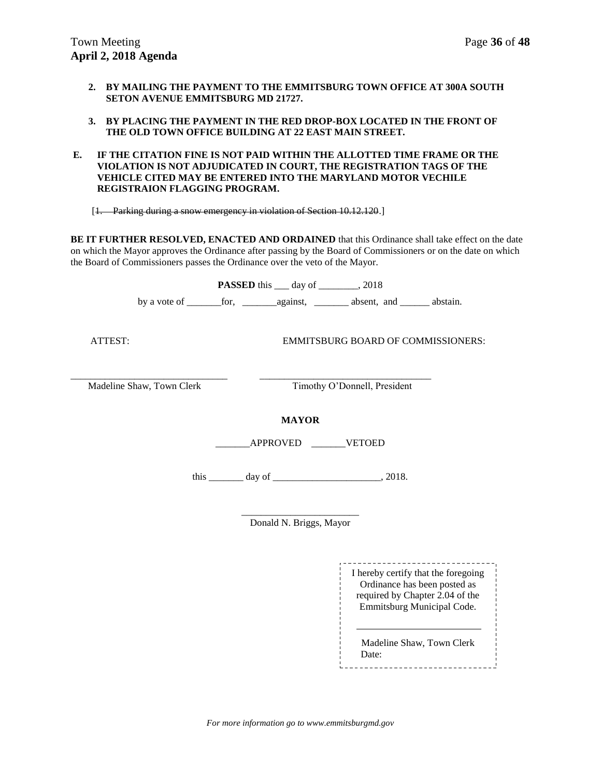- **2. BY MAILING THE PAYMENT TO THE EMMITSBURG TOWN OFFICE AT 300A SOUTH SETON AVENUE EMMITSBURG MD 21727.**
- **3. BY PLACING THE PAYMENT IN THE RED DROP-BOX LOCATED IN THE FRONT OF THE OLD TOWN OFFICE BUILDING AT 22 EAST MAIN STREET.**
- **E. IF THE CITATION FINE IS NOT PAID WITHIN THE ALLOTTED TIME FRAME OR THE VIOLATION IS NOT ADJUDICATED IN COURT, THE REGISTRATION TAGS OF THE VEHICLE CITED MAY BE ENTERED INTO THE MARYLAND MOTOR VECHILE REGISTRAION FLAGGING PROGRAM.**

[1. Parking during a snow emergency in violation of Section 10.12.120.]

**BE IT FURTHER RESOLVED, ENACTED AND ORDAINED** that this Ordinance shall take effect on the date on which the Mayor approves the Ordinance after passing by the Board of Commissioners or on the date on which the Board of Commissioners passes the Ordinance over the veto of the Mayor.

|                           | <b>PASSED</b> this ____ day of _________, 2018  |  |
|---------------------------|-------------------------------------------------|--|
|                           |                                                 |  |
| ATTEST:                   | <b>EMMITSBURG BOARD OF COMMISSIONERS:</b>       |  |
| Madeline Shaw, Town Clerk | Timothy O'Donnell, President                    |  |
|                           | <b>MAYOR</b><br>APPROVED VETOED                 |  |
|                           | this $\_\_\_\_$ day of $\_\_\_\_\_\_\_$ , 2018. |  |
|                           | Donald N. Briggs, Mayor                         |  |

\_\_\_\_\_\_\_\_\_\_\_\_\_\_\_\_\_\_\_\_\_\_\_\_\_ I hereby certify that the foregoing Ordinance has been posted as required by Chapter 2.04 of the Emmitsburg Municipal Code.

Madeline Shaw, Town Clerk Date: 

*For more information go to www.emmitsburgmd.gov*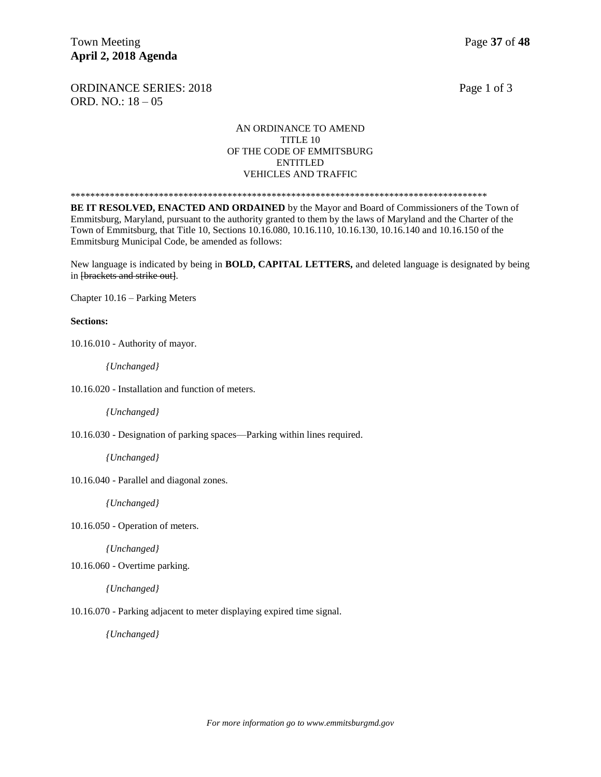ORDINANCE SERIES: 2018 Page 1 of 3 ORD. NO.: 18 – 05

#### AN ORDINANCE TO AMEND TITLE 10 OF THE CODE OF EMMITSBURG ENTITLED VEHICLES AND TRAFFIC

\*\*\*\*\*\*\*\*\*\*\*\*\*\*\*\*\*\*\*\*\*\*\*\*\*\*\*\*\*\*\*\*\*\*\*\*\*\*\*\*\*\*\*\*\*\*\*\*\*\*\*\*\*\*\*\*\*\*\*\*\*\*\*\*\*\*\*\*\*\*\*\*\*\*\*\*\*\*\*\*\*\*\*\*\*

**BE IT RESOLVED, ENACTED AND ORDAINED** by the Mayor and Board of Commissioners of the Town of Emmitsburg, Maryland, pursuant to the authority granted to them by the laws of Maryland and the Charter of the Town of Emmitsburg, that Title 10, Sections 10.16.080, 10.16.110, 10.16.130, 10.16.140 and 10.16.150 of the Emmitsburg Municipal Code, be amended as follows:

New language is indicated by being in **BOLD, CAPITAL LETTERS,** and deleted language is designated by being in [brackets and strike out].

Chapter 10.16 – Parking Meters

#### **Sections:**

10.16.010 - Authority of mayor.

*{Unchanged}*

10.16.020 - Installation and function of meters.

*{Unchanged}*

10.16.030 - Designation of parking spaces—Parking within lines required.

*{Unchanged}*

10.16.040 - Parallel and diagonal zones.

*{Unchanged}*

10.16.050 - Operation of meters.

*{Unchanged}*

10.16.060 - Overtime parking.

*{Unchanged}*

10.16.070 - Parking adjacent to meter displaying expired time signal.

*{Unchanged}*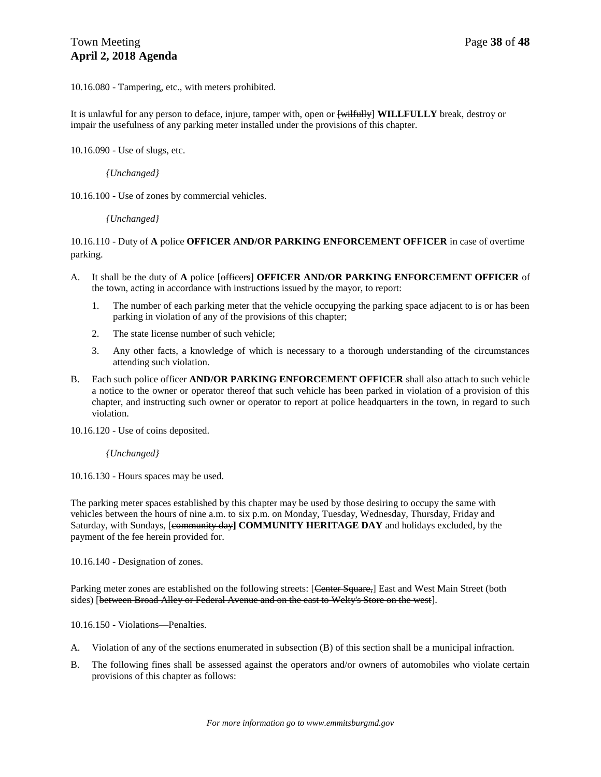10.16.080 - Tampering, etc., with meters prohibited.

It is unlawful for any person to deface, injure, tamper with, open or [wilfully] **WILLFULLY** break, destroy or impair the usefulness of any parking meter installed under the provisions of this chapter.

10.16.090 - Use of slugs, etc.

*{Unchanged}*

10.16.100 - Use of zones by commercial vehicles.

*{Unchanged}*

#### 10.16.110 - Duty of **A** police **OFFICER AND/OR PARKING ENFORCEMENT OFFICER** in case of overtime parking.

- A. It shall be the duty of **A** police [officers] **OFFICER AND/OR PARKING ENFORCEMENT OFFICER** of the town, acting in accordance with instructions issued by the mayor, to report:
	- 1. The number of each parking meter that the vehicle occupying the parking space adjacent to is or has been parking in violation of any of the provisions of this chapter;
	- 2. The state license number of such vehicle;
	- 3. Any other facts, a knowledge of which is necessary to a thorough understanding of the circumstances attending such violation.
- B. Each such police officer **AND/OR PARKING ENFORCEMENT OFFICER** shall also attach to such vehicle a notice to the owner or operator thereof that such vehicle has been parked in violation of a provision of this chapter, and instructing such owner or operator to report at police headquarters in the town, in regard to such violation.

10.16.120 - Use of coins deposited.

*{Unchanged}*

10.16.130 - Hours spaces may be used.

The parking meter spaces established by this chapter may be used by those desiring to occupy the same with vehicles between the hours of nine a.m. to six p.m. on Monday, Tuesday, Wednesday, Thursday, Friday and Saturday, with Sundays, [community day**] COMMUNITY HERITAGE DAY** and holidays excluded, by the payment of the fee herein provided for.

10.16.140 - Designation of zones.

Parking meter zones are established on the following streets: [Center Square,] East and West Main Street (both sides) [between Broad Alley or Federal Avenue and on the east to Welty's Store on the west].

10.16.150 - Violations—Penalties.

- A. Violation of any of the sections enumerated in subsection (B) of this section shall be a municipal infraction.
- B. The following fines shall be assessed against the operators and/or owners of automobiles who violate certain provisions of this chapter as follows: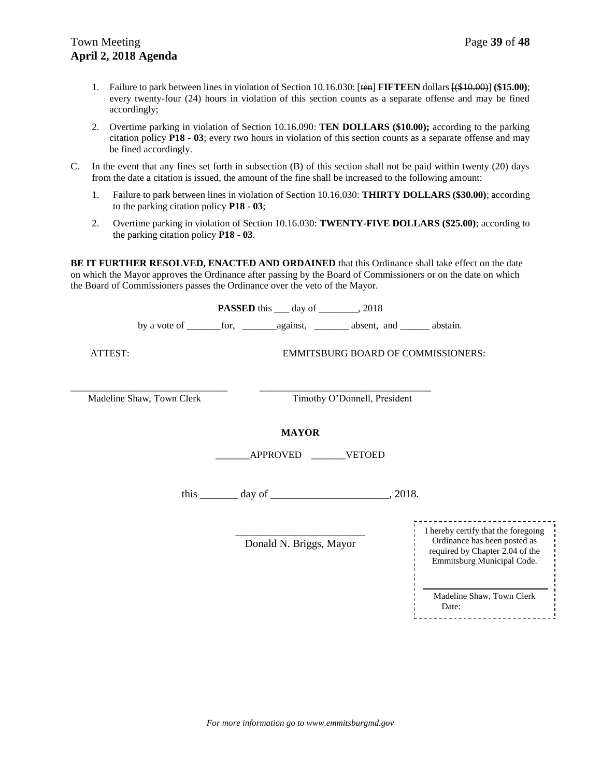- 1. Failure to park between lines in violation of Section 10.16.030: [ten] **FIFTEEN** dollars [(\$10.00)] **(\$15.00)**; every twenty-four (24) hours in violation of this section counts as a separate offense and may be fined accordingly;
- 2. Overtime parking in violation of [Section 10.16.090:](https://library.municode.com/md/emmitsburg/codes/code_of_ordinances?nodeId=TIT10VETR_CH10.16PAME_10.16.090USSLET) **TEN DOLLARS (\$10.00);** according to the parking citation policy **P18 - 03**; every two hours in violation of this section counts as a separate offense and may be fined accordingly.
- C. In the event that any fines set forth in subsection (B) of this section shall not be paid within twenty (20) days from the date a citation is issued, the amount of the fine shall be increased to the following amount:
	- 1. Failure to park between lines in violation of Section 10.16.030: **THIRTY DOLLARS (\$30.00)**; according to the parking citation policy **P18 - 03**;
	- 2. Overtime parking in violation of Section 10.16.030: **TWENTY-FIVE DOLLARS (\$25.00)**; according to the parking citation policy **P18 - 03**.

**BE IT FURTHER RESOLVED, ENACTED AND ORDAINED** that this Ordinance shall take effect on the date on which the Mayor approves the Ordinance after passing by the Board of Commissioners or on the date on which the Board of Commissioners passes the Ordinance over the veto of the Mayor.

**PASSED** this \_\_\_ day of \_\_\_\_\_\_\_\_, 2018

by a vote of \_\_\_\_\_\_\_for, \_\_\_\_\_\_\_against, \_\_\_\_\_\_\_ absent, and \_\_\_\_\_\_ abstain.

ATTEST: EMMITSBURG BOARD OF COMMISSIONERS:

\_\_\_\_\_\_\_\_\_\_\_\_\_\_\_\_\_\_\_\_\_\_\_\_\_\_\_\_\_\_\_\_ \_\_\_\_\_\_\_\_\_\_\_\_\_\_\_\_\_\_\_\_\_\_\_\_\_\_\_\_\_\_\_\_\_\_\_

Madeline Shaw, Town Clerk Timothy O'Donnell, President

### **MAYOR**

\_\_\_\_\_\_\_APPROVED \_\_\_\_\_\_\_VETOED

this day of 2018.

\_\_\_\_\_\_\_\_\_\_\_\_\_\_\_\_\_\_\_\_\_\_\_\_ Donald N. Briggs, Mayor

| I hereby certify that the foregoing<br>Ordinance has been posted as<br>required by Chapter 2.04 of the<br>Emmitsburg Municipal Code. |
|--------------------------------------------------------------------------------------------------------------------------------------|
| Madeline Shaw, Town Clerk                                                                                                            |

Date:<br>-----------------------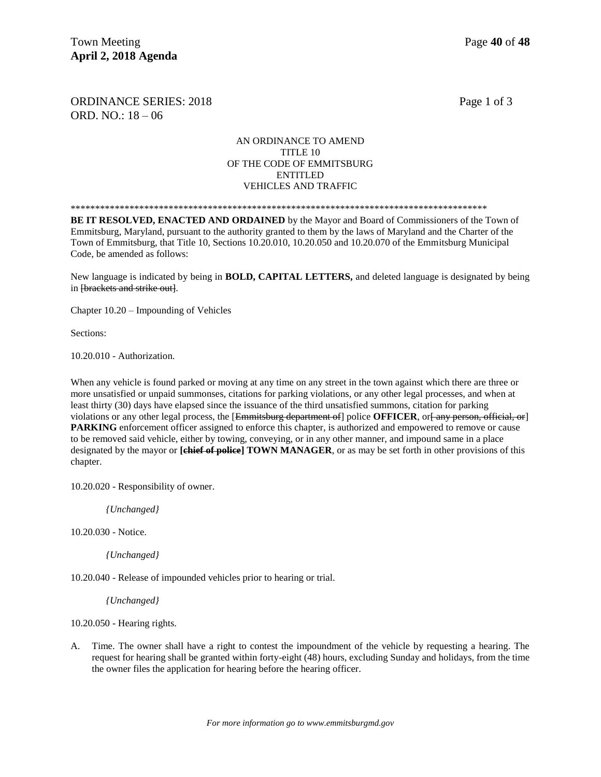ORDINANCE SERIES: 2018 Page 1 of 3 ORD. NO.: 18 – 06

#### AN ORDINANCE TO AMEND TITLE 10 OF THE CODE OF EMMITSBURG ENTITLED VEHICLES AND TRAFFIC

\*\*\*\*\*\*\*\*\*\*\*\*\*\*\*\*\*\*\*\*\*\*\*\*\*\*\*\*\*\*\*\*\*\*\*\*\*\*\*\*\*\*\*\*\*\*\*\*\*\*\*\*\*\*\*\*\*\*\*\*\*\*\*\*\*\*\*\*\*\*\*\*\*\*\*\*\*\*\*\*\*\*\*\*\*

**BE IT RESOLVED, ENACTED AND ORDAINED** by the Mayor and Board of Commissioners of the Town of Emmitsburg, Maryland, pursuant to the authority granted to them by the laws of Maryland and the Charter of the Town of Emmitsburg, that Title 10, Sections 10.20.010, 10.20.050 and 10.20.070 of the Emmitsburg Municipal Code, be amended as follows:

New language is indicated by being in **BOLD, CAPITAL LETTERS,** and deleted language is designated by being in [brackets and strike out].

Chapter 10.20 – Impounding of Vehicles

Sections:

10.20.010 - Authorization.

When any vehicle is found parked or moving at any time on any street in the town against which there are three or more unsatisfied or unpaid summonses, citations for parking violations, or any other legal processes, and when at least thirty (30) days have elapsed since the issuance of the third unsatisfied summons, citation for parking violations or any other legal process, the [Emmitsburg department of] police **OFFICER**, or any person, official, or **PARKING** enforcement officer assigned to enforce this chapter, is authorized and empowered to remove or cause to be removed said vehicle, either by towing, conveying, or in any other manner, and impound same in a place designated by the mayor or **[chief of police] TOWN MANAGER**, or as may be set forth in other provisions of this chapter.

10.20.020 - Responsibility of owner.

*{Unchanged}*

10.20.030 - Notice.

*{Unchanged}*

10.20.040 - Release of impounded vehicles prior to hearing or trial.

*{Unchanged}*

10.20.050 - Hearing rights.

A. Time. The owner shall have a right to contest the impoundment of the vehicle by requesting a hearing. The request for hearing shall be granted within forty-eight (48) hours, excluding Sunday and holidays, from the time the owner files the application for hearing before the hearing officer.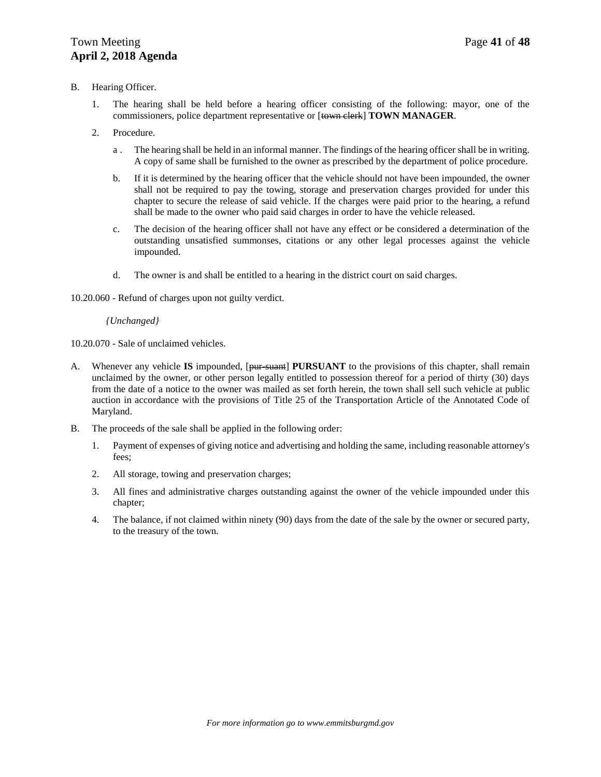#### B. Hearing Officer.

- 1. The hearing shall be held before a hearing officer consisting of the following: mayor, one of the commissioners, police department representative or [town clerk] **TOWN MANAGER**.
- 2. Procedure.
	- a . The hearing shall be held in an informal manner. The findings of the hearing officer shall be in writing. A copy of same shall be furnished to the owner as prescribed by the department of police procedure.
	- b. If it is determined by the hearing officer that the vehicle should not have been impounded, the owner shall not be required to pay the towing, storage and preservation charges provided for under this chapter to secure the release of said vehicle. If the charges were paid prior to the hearing, a refund shall be made to the owner who paid said charges in order to have the vehicle released.
	- c. The decision of the hearing officer shall not have any effect or be considered a determination of the outstanding unsatisfied summonses, citations or any other legal processes against the vehicle impounded.
	- d. The owner is and shall be entitled to a hearing in the district court on said charges.

10.20.060 - Refund of charges upon not guilty verdict.

#### *{Unchanged}*

10.20.070 - Sale of unclaimed vehicles.

- A. Whenever any vehicle **IS** impounded, [pur-suant] **PURSUANT** to the provisions of this chapter, shall remain unclaimed by the owner, or other person legally entitled to possession thereof for a period of thirty (30) days from the date of a notice to the owner was mailed as set forth herein, the town shall sell such vehicle at public auction in accordance with the provisions of Title 25 of the Transportation Article of the Annotated Code of Maryland.
- B. The proceeds of the sale shall be applied in the following order:
	- 1. Payment of expenses of giving notice and advertising and holding the same, including reasonable attorney's fees;
	- 2. All storage, towing and preservation charges;
	- 3. All fines and administrative charges outstanding against the owner of the vehicle impounded under this chapter;
	- 4. The balance, if not claimed within ninety (90) days from the date of the sale by the owner or secured party, to the treasury of the town.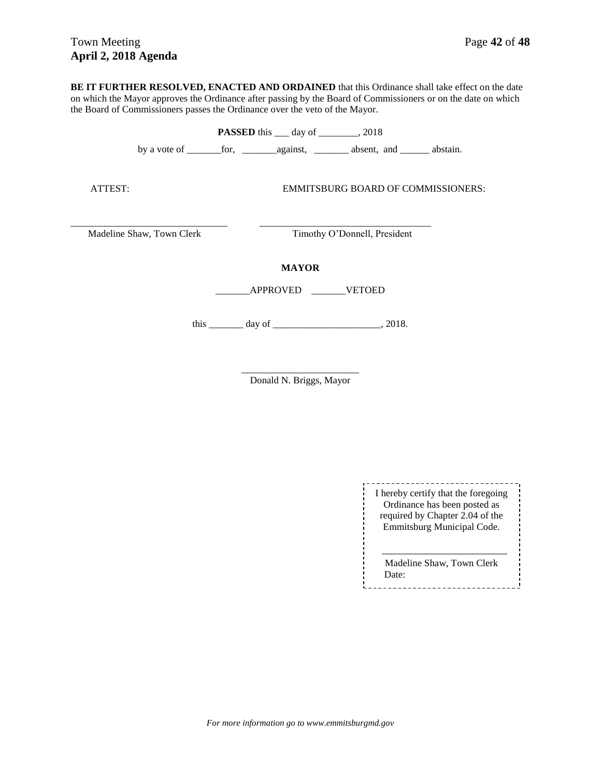**BE IT FURTHER RESOLVED, ENACTED AND ORDAINED** that this Ordinance shall take effect on the date on which the Mayor approves the Ordinance after passing by the Board of Commissioners or on the date on which the Board of Commissioners passes the Ordinance over the veto of the Mayor.

|                                 |                              | <b>PASSED</b> this $\_\_\_$ day of $\_\_\_\_$ , 2018 |                                           |  |  |
|---------------------------------|------------------------------|------------------------------------------------------|-------------------------------------------|--|--|
|                                 |                              |                                                      |                                           |  |  |
| ATTEST:                         |                              |                                                      | <b>EMMITSBURG BOARD OF COMMISSIONERS:</b> |  |  |
| Madeline Shaw, Town Clerk       | Timothy O'Donnell, President |                                                      |                                           |  |  |
| <b>MAYOR</b><br>APPROVED VETOED |                              |                                                      |                                           |  |  |
|                                 |                              | this $\_\_\_\_$ day of $\_\_\_\_\_\_\_$ , 2018.      |                                           |  |  |

\_\_\_\_\_\_\_\_\_\_\_\_\_\_\_\_\_\_\_\_\_\_\_\_ Donald N. Briggs, Mayor

> \_\_\_\_\_\_\_\_\_\_\_\_\_\_\_\_\_\_\_\_\_\_\_\_\_\_\_\_\_ I hereby certify that the foregoing Ordinance has been posted as required by Chapter 2.04 of the Emmitsburg Municipal Code.

Madeline Shaw, Town Clerk Date: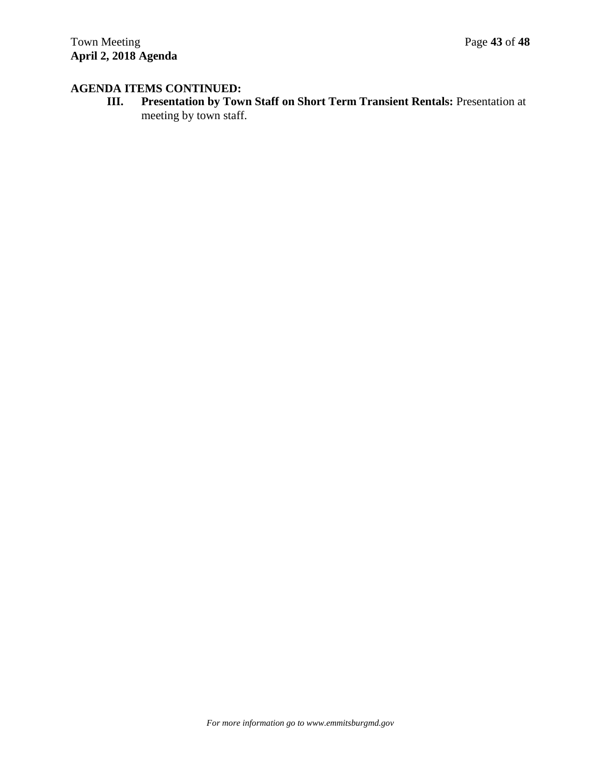## **AGENDA ITEMS CONTINUED:**

**III. Presentation by Town Staff on Short Term Transient Rentals:** Presentation at meeting by town staff.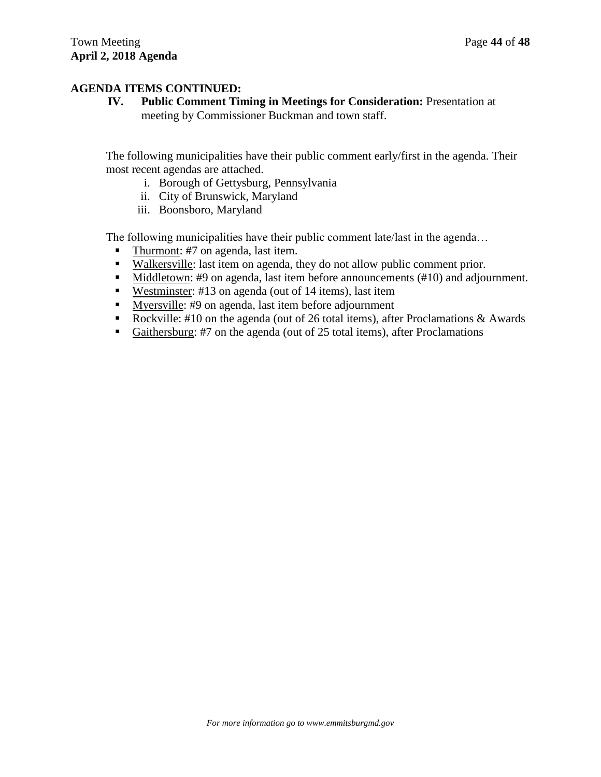### **AGENDA ITEMS CONTINUED:**

**IV. Public Comment Timing in Meetings for Consideration:** Presentation at meeting by Commissioner Buckman and town staff.

The following municipalities have their public comment early/first in the agenda. Their most recent agendas are attached.

- i. Borough of Gettysburg, Pennsylvania
- ii. City of Brunswick, Maryland
- iii. Boonsboro, Maryland

The following municipalities have their public comment late/last in the agenda…

- Thurmont:  $#7$  on agenda, last item.
- Walkersville: last item on agenda, they do not allow public comment prior.
- Middletown: #9 on agenda, last item before announcements (#10) and adjournment.
- Westminster: #13 on agenda (out of 14 items), last item
- Myersville: #9 on agenda, last item before adjournment
- Rockville: #10 on the agenda (out of 26 total items), after Proclamations & Awards
- Gaithersburg: #7 on the agenda (out of 25 total items), after Proclamations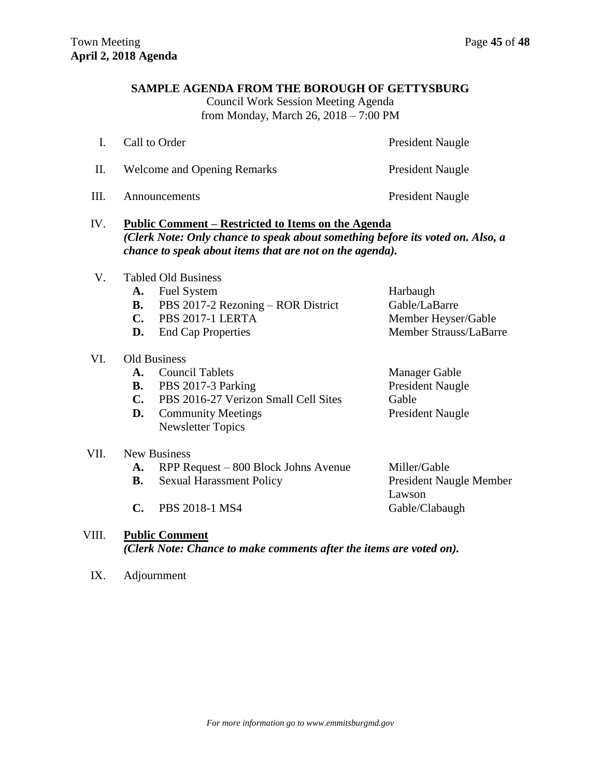### **SAMPLE AGENDA FROM THE BOROUGH OF GETTYSBURG**

Council Work Session Meeting Agenda from Monday, March 26, 2018 – 7:00 PM

|    | Call to Order                      | President Naugle        |
|----|------------------------------------|-------------------------|
| H. | <b>Welcome and Opening Remarks</b> | <b>President Naugle</b> |
| Ш  | Announcements                      | <b>President Naugle</b> |

### IV. **Public Comment – Restricted to Items on the Agenda** *(Clerk Note: Only chance to speak about something before its voted on. Also, a chance to speak about items that are not on the agenda).*

- V. Tabled Old Business
	- **A.** Fuel System Harbaugh
	- **B.** PBS 2017-2 Rezoning ROR District Gable/LaBarre
	- **C.** PBS 2017-1 LERTA Member Heyser/Gable
	-
- VI. Old Business

VII. New Business

- A. Council Tablets Manager Gable
- **B.** PBS 2017-3 Parking President Naugle
- **C.** PBS 2016-27 Verizon Small Cell Sites Gable
- **D.** Community Meetings President Naugle Newsletter Topics
- **D.** End Cap Properties Member Strauss/LaBarre
	-
- A. RPP Request 800 Block Johns Avenue Miller/Gable **B.** Sexual Harassment Policy President Naugle Member Lawson C. PBS 2018-1 MS4 Gable/Clabaugh

### VIII. **Public Comment**  *(Clerk Note: Chance to make comments after the items are voted on).*

IX. Adjournment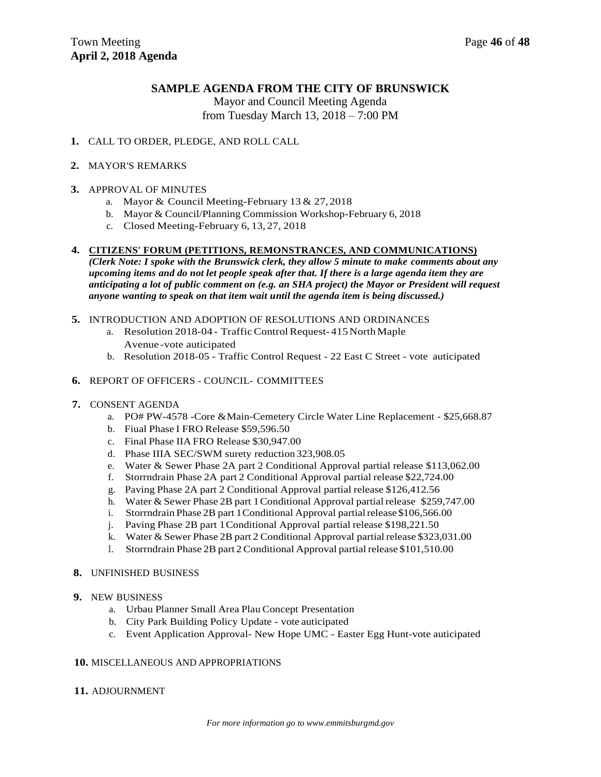### **SAMPLE AGENDA FROM THE CITY OF BRUNSWICK**

Mayor and Council Meeting Agenda from Tuesday March 13, 2018 – 7:00 PM

#### **1.** CALL TO ORDER, PLEDGE, AND ROLL CALL

#### **2.** MAYOR'S REMARKS

#### **3.** APPROVAL OF MINUTES

- a. Mayor & Council Meeting-February 13 & 27, 2018
- b. Mayor & Council/Planning Commission Workshop-February 6, 2018
- c. Closed Meeting-February 6, 13, 27, 2018

#### **4. CITIZENS' FORUM (PETITIONS, REMONSTRANCES, AND COMMUNICATIONS)**

*(Clerk Note: I spoke with the Brunswick clerk, they allow 5 minute to make comments about any upcoming items and do not let people speak after that. If there is a large agenda item they are anticipating a lot of public comment on (e.g. an SHA project) the Mayor or President will request anyone wanting to speak on that item wait until the agenda item is being discussed.)*

#### **5.** INTRODUCTION AND ADOPTION OF RESOLUTIONS AND ORDINANCES

- a. Resolution 2018-04 Traffic Control Request-415 North Maple Avenue -vote auticipated
- b. Resolution 2018-05 Traffic Control Request 22 East C Street vote auticipated

#### **6.** REPORT OF OFFICERS - COUNCIL- COMMITTEES

- **7.** CONSENT AGENDA
	- a. PO# PW-4578 -Core &Main-Cemetery Circle Water Line Replacement \$25,668.87
	- b. Fiual Phase I FRO Release \$59,596.50
	- c. Final Phase IIA FRO Release \$30,947.00
	- d. Phase IIIA SEC/SWM surety reduction 323,908.05
	- e. Water & Sewer Phase 2A part 2 Conditional Approval partial release \$113,062.00
	- f. Storrndrain Phase 2A part 2 Conditional Approval partial release \$22,724.00
	- g. Paving Phase 2A part 2 Conditional Approval partial release \$126,412.56
	- h. Water & Sewer Phase 2B part 1Conditional Approval partial release \$259,747.00
	- i. Storrndrain Phase 2B part 1 Conditional Approval partial release \$106,566.00
	- j. Paving Phase 2B part 1Conditional Approval partial release \$198,221.50
	- k. Water & Sewer Phase 2B part 2 Conditional Approval partial release \$323,031.00
	- 1. Storrndrain Phase 2B part 2 Conditional Approval partial release \$101,510.00

#### **8.** UNFINISHED BUSINESS

- **9.** NEW BUSINESS
	- a. Urbau Planner Small Area Plau Concept Presentation
	- b. City Park Building Policy Update vote auticipated
	- c. Event Application Approval- New Hope UMC Easter Egg Hunt-vote auticipated

#### **10.** MISCELLANEOUS AND APPROPRIATIONS

#### **11.** ADJOURNMENT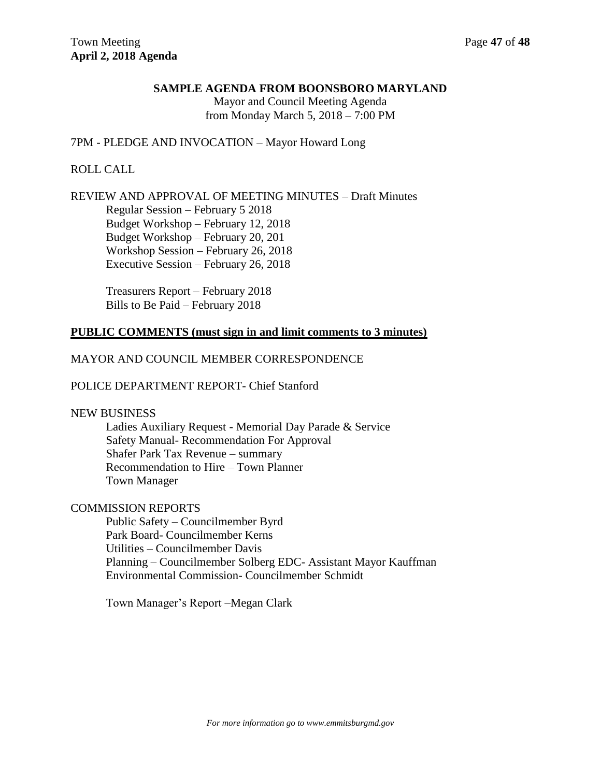### **SAMPLE AGENDA FROM BOONSBORO MARYLAND**

Mayor and Council Meeting Agenda from Monday March 5, 2018 – 7:00 PM

#### 7PM - PLEDGE AND INVOCATION – Mayor Howard Long

### ROLL CALL

### REVIEW AND APPROVAL OF MEETING MINUTES – Draft Minutes

Regular Session – February 5 2018 Budget Workshop – February 12, 2018 Budget Workshop – February 20, 201 Workshop Session – February 26, 2018 Executive Session – February 26, 2018

Treasurers Report – February 2018 Bills to Be Paid – February 2018

#### **PUBLIC COMMENTS (must sign in and limit comments to 3 minutes)**

### MAYOR AND COUNCIL MEMBER CORRESPONDENCE

#### POLICE DEPARTMENT REPORT- Chief Stanford

#### NEW BUSINESS

Ladies Auxiliary Request - Memorial Day Parade & Service Safety Manual- Recommendation For Approval Shafer Park Tax Revenue – summary Recommendation to Hire – Town Planner Town Manager

### COMMISSION REPORTS

Public Safety – Councilmember Byrd Park Board- Councilmember Kerns Utilities – Councilmember Davis Planning – Councilmember Solberg EDC- Assistant Mayor Kauffman Environmental Commission- Councilmember Schmidt

Town Manager's Report –Megan Clark